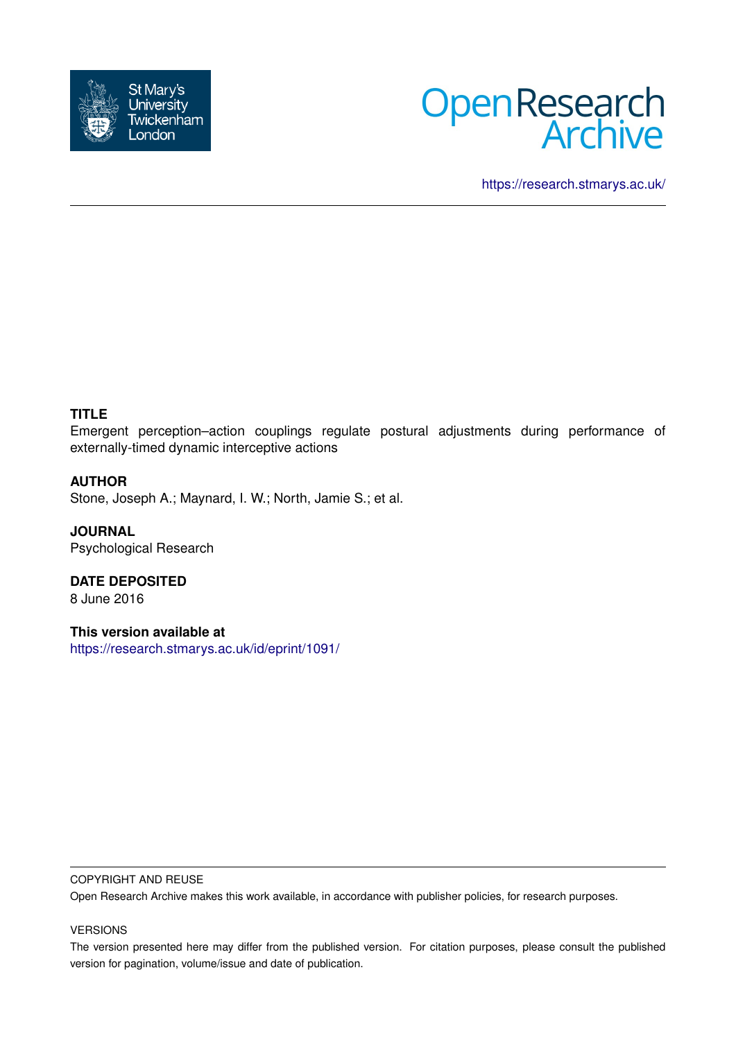



<https://research.stmarys.ac.uk/>

# **TITLE**

Emergent perception–action couplings regulate postural adjustments during performance of externally-timed dynamic interceptive actions

## **AUTHOR**

Stone, Joseph A.; Maynard, I. W.; North, Jamie S.; et al.

**JOURNAL** Psychological Research

**DATE DEPOSITED** 8 June 2016

**This version available at** <https://research.stmarys.ac.uk/id/eprint/1091/>

#### COPYRIGHT AND REUSE

Open Research Archive makes this work available, in accordance with publisher policies, for research purposes.

### VERSIONS

The version presented here may differ from the published version. For citation purposes, please consult the published version for pagination, volume/issue and date of publication.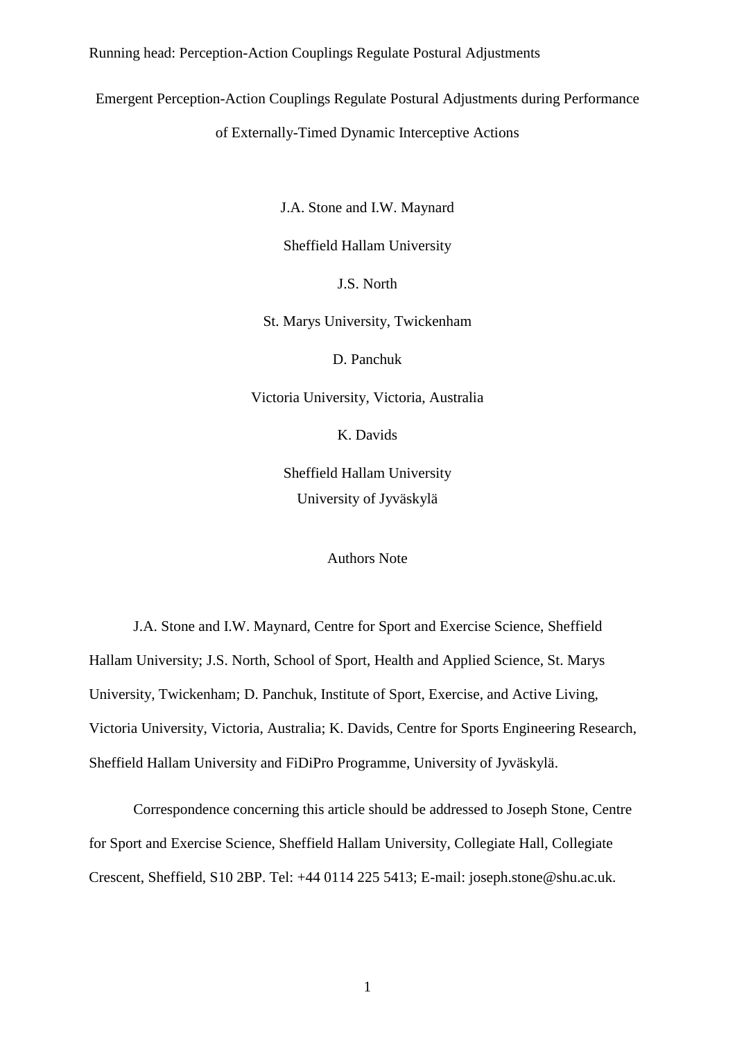Emergent Perception-Action Couplings Regulate Postural Adjustments during Performance

of Externally-Timed Dynamic Interceptive Actions

J.A. Stone and I.W. Maynard

Sheffield Hallam University

J.S. North

St. Marys University, Twickenham

D. Panchuk

Victoria University, Victoria, Australia

K. Davids

Sheffield Hallam University University of Jyväskylä

Authors Note

J.A. Stone and I.W. Maynard, Centre for Sport and Exercise Science, Sheffield Hallam University; J.S. North, School of Sport, Health and Applied Science, St. Marys University, Twickenham; D. Panchuk, Institute of Sport, Exercise, and Active Living, Victoria University, Victoria, Australia; K. Davids, Centre for Sports Engineering Research, Sheffield Hallam University and FiDiPro Programme, University of Jyväskylä.

Correspondence concerning this article should be addressed to Joseph Stone, Centre for Sport and Exercise Science, Sheffield Hallam University, Collegiate Hall, Collegiate Crescent, Sheffield, S10 2BP. Tel: +44 0114 225 5413; E-mail: joseph.stone@shu.ac.uk.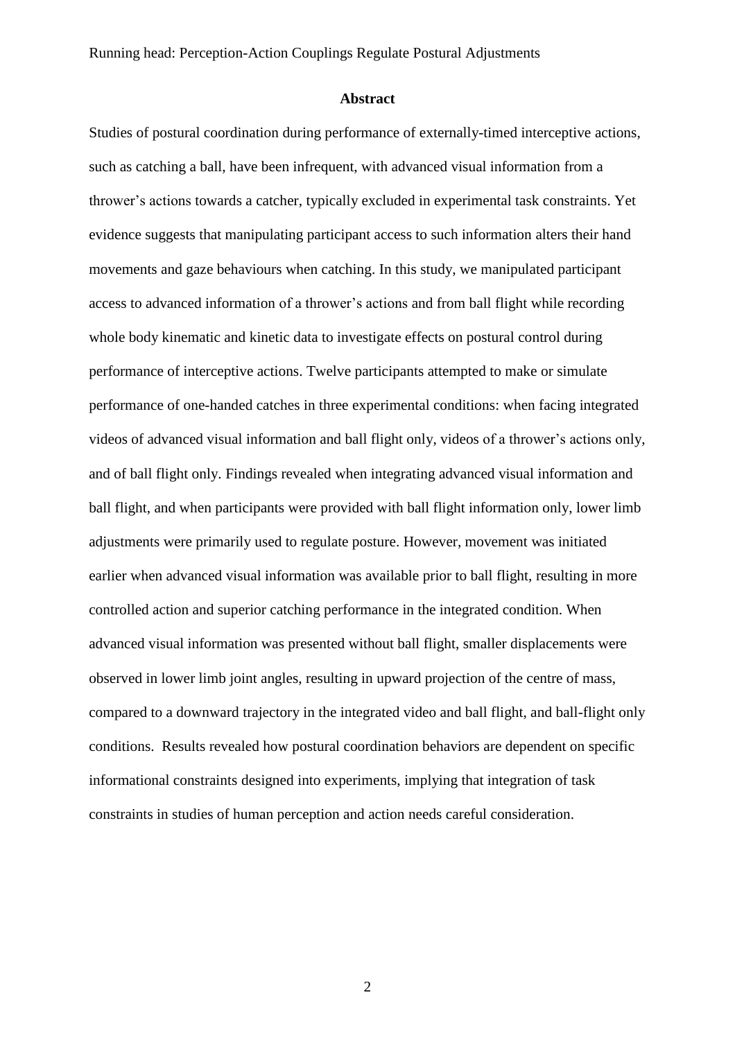#### **Abstract**

Studies of postural coordination during performance of externally-timed interceptive actions, such as catching a ball, have been infrequent, with advanced visual information from a thrower's actions towards a catcher, typically excluded in experimental task constraints. Yet evidence suggests that manipulating participant access to such information alters their hand movements and gaze behaviours when catching. In this study, we manipulated participant access to advanced information of a thrower's actions and from ball flight while recording whole body kinematic and kinetic data to investigate effects on postural control during performance of interceptive actions. Twelve participants attempted to make or simulate performance of one-handed catches in three experimental conditions: when facing integrated videos of advanced visual information and ball flight only, videos of a thrower's actions only, and of ball flight only. Findings revealed when integrating advanced visual information and ball flight, and when participants were provided with ball flight information only, lower limb adjustments were primarily used to regulate posture. However, movement was initiated earlier when advanced visual information was available prior to ball flight, resulting in more controlled action and superior catching performance in the integrated condition. When advanced visual information was presented without ball flight, smaller displacements were observed in lower limb joint angles, resulting in upward projection of the centre of mass, compared to a downward trajectory in the integrated video and ball flight, and ball-flight only conditions. Results revealed how postural coordination behaviors are dependent on specific informational constraints designed into experiments, implying that integration of task constraints in studies of human perception and action needs careful consideration.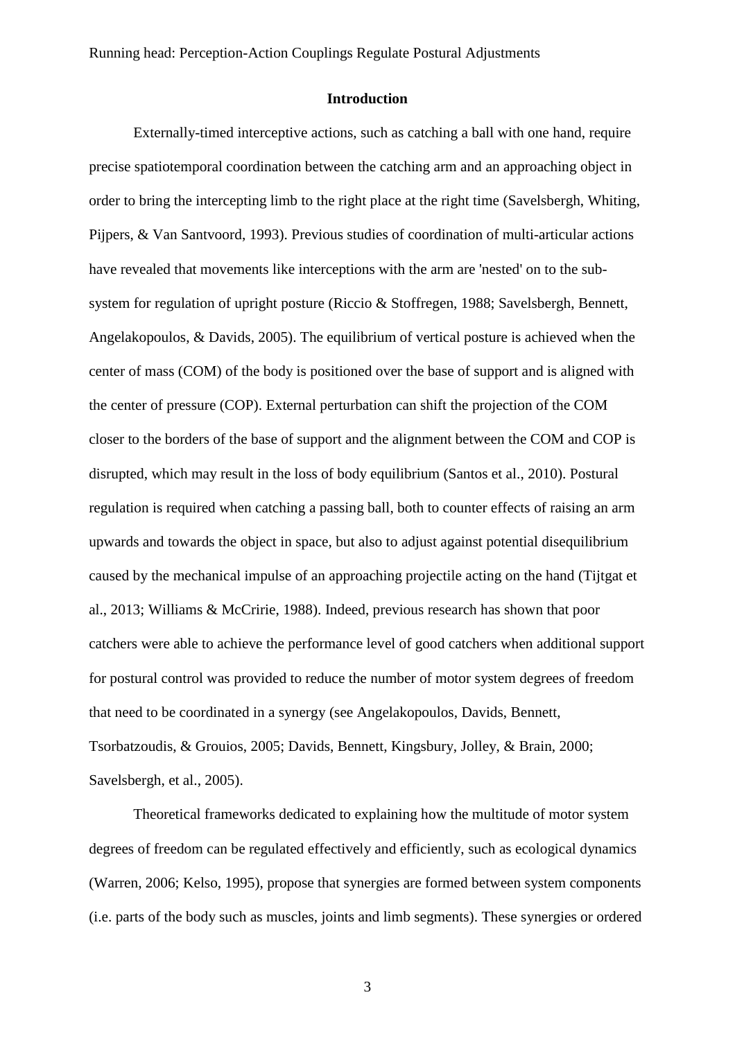### **Introduction**

Externally-timed interceptive actions, such as catching a ball with one hand, require precise spatiotemporal coordination between the catching arm and an approaching object in order to bring the intercepting limb to the right place at the right time (Savelsbergh, Whiting, Pijpers, & Van Santvoord, 1993). Previous studies of coordination of multi-articular actions have revealed that movements like interceptions with the arm are 'nested' on to the subsystem for regulation of upright posture (Riccio & Stoffregen, 1988; Savelsbergh, Bennett, Angelakopoulos, & Davids, 2005). The equilibrium of vertical posture is achieved when the center of mass (COM) of the body is positioned over the base of support and is aligned with the center of pressure (COP). External perturbation can shift the projection of the COM closer to the borders of the base of support and the alignment between the COM and COP is disrupted, which may result in the loss of body equilibrium (Santos et al., 2010). Postural regulation is required when catching a passing ball, both to counter effects of raising an arm upwards and towards the object in space, but also to adjust against potential disequilibrium caused by the mechanical impulse of an approaching projectile acting on the hand (Tijtgat et al., 2013; Williams & McCririe, 1988). Indeed, previous research has shown that poor catchers were able to achieve the performance level of good catchers when additional support for postural control was provided to reduce the number of motor system degrees of freedom that need to be coordinated in a synergy (see Angelakopoulos, Davids, Bennett, Tsorbatzoudis, & Grouios, 2005; Davids, Bennett, Kingsbury, Jolley, & Brain, 2000; Savelsbergh, et al., 2005).

Theoretical frameworks dedicated to explaining how the multitude of motor system degrees of freedom can be regulated effectively and efficiently, such as ecological dynamics (Warren, 2006; Kelso, 1995), propose that synergies are formed between system components (i.e. parts of the body such as muscles, joints and limb segments). These synergies or ordered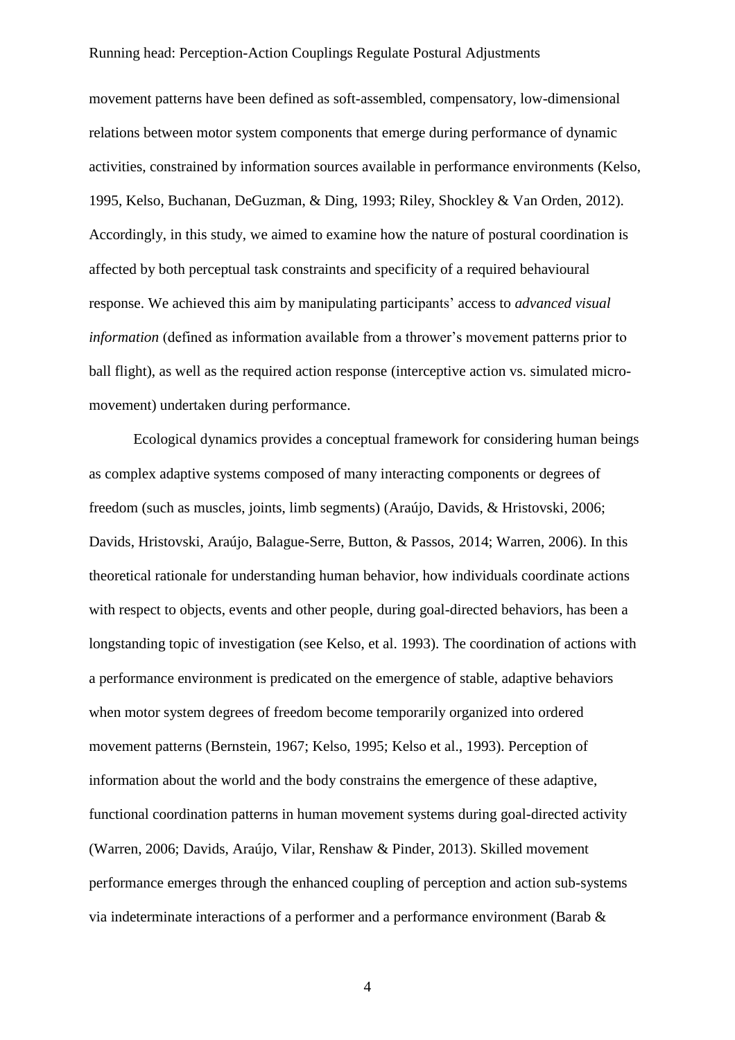movement patterns have been defined as soft-assembled, compensatory, low-dimensional relations between motor system components that emerge during performance of dynamic activities, constrained by information sources available in performance environments (Kelso, 1995, Kelso, Buchanan, DeGuzman, & Ding, 1993; Riley, Shockley & Van Orden, 2012). Accordingly, in this study, we aimed to examine how the nature of postural coordination is affected by both perceptual task constraints and specificity of a required behavioural response. We achieved this aim by manipulating participants' access to *advanced visual information* (defined as information available from a thrower's movement patterns prior to ball flight), as well as the required action response (interceptive action vs. simulated micromovement) undertaken during performance.

Ecological dynamics provides a conceptual framework for considering human beings as complex adaptive systems composed of many interacting components or degrees of freedom (such as muscles, joints, limb segments) (Araújo, Davids, & Hristovski, 2006; Davids, Hristovski, Araújo, Balague-Serre, Button, & Passos, 2014; Warren, 2006). In this theoretical rationale for understanding human behavior, how individuals coordinate actions with respect to objects, events and other people, during goal-directed behaviors, has been a longstanding topic of investigation (see Kelso, et al. 1993). The coordination of actions with a performance environment is predicated on the emergence of stable, adaptive behaviors when motor system degrees of freedom become temporarily organized into ordered movement patterns (Bernstein, 1967; Kelso, 1995; Kelso et al., 1993). Perception of information about the world and the body constrains the emergence of these adaptive, functional coordination patterns in human movement systems during goal-directed activity (Warren, 2006; Davids, Araújo, Vilar, Renshaw & Pinder, 2013). Skilled movement performance emerges through the enhanced coupling of perception and action sub-systems via indeterminate interactions of a performer and a performance environment (Barab &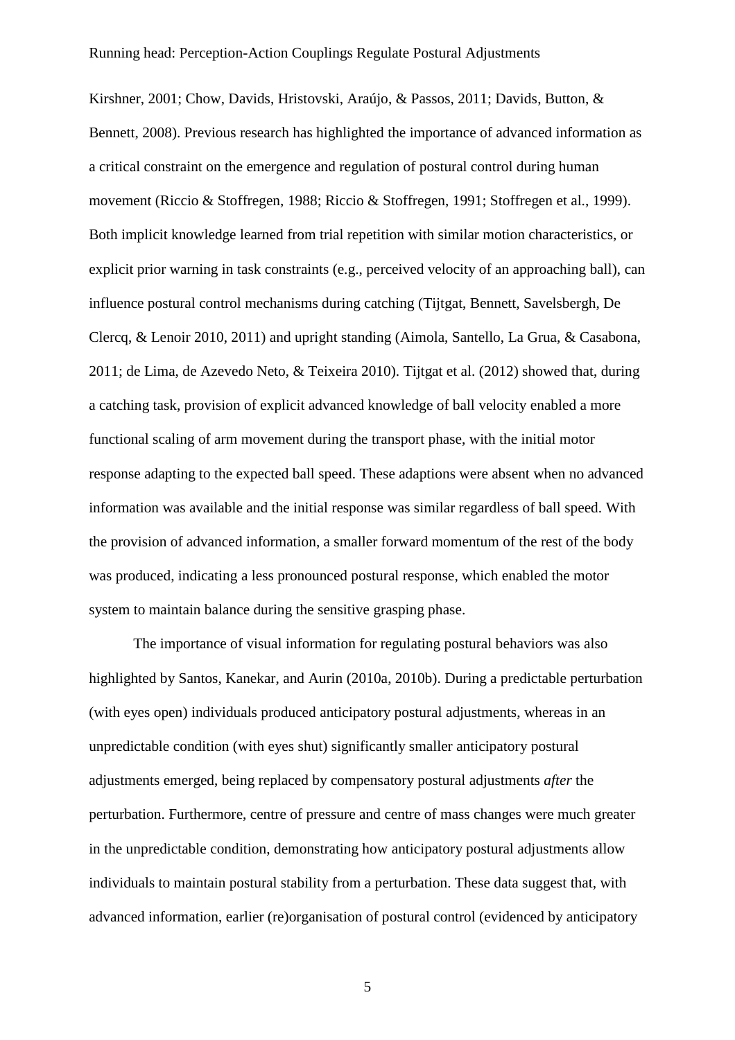Kirshner, 2001; Chow, Davids, Hristovski, Araújo, & Passos, 2011; Davids, Button, & Bennett, 2008). Previous research has highlighted the importance of advanced information as a critical constraint on the emergence and regulation of postural control during human movement (Riccio & Stoffregen, 1988; Riccio & Stoffregen, 1991; Stoffregen et al., 1999). Both implicit knowledge learned from trial repetition with similar motion characteristics, or explicit prior warning in task constraints (e.g., perceived velocity of an approaching ball), can influence postural control mechanisms during catching (Tijtgat, Bennett, Savelsbergh, De Clercq, & Lenoir 2010, 2011) and upright standing (Aimola, Santello, La Grua, & Casabona, 2011; de Lima, de Azevedo Neto, & Teixeira 2010). Tijtgat et al. (2012) showed that, during a catching task, provision of explicit advanced knowledge of ball velocity enabled a more functional scaling of arm movement during the transport phase, with the initial motor response adapting to the expected ball speed. These adaptions were absent when no advanced information was available and the initial response was similar regardless of ball speed. With the provision of advanced information, a smaller forward momentum of the rest of the body was produced, indicating a less pronounced postural response, which enabled the motor system to maintain balance during the sensitive grasping phase.

The importance of visual information for regulating postural behaviors was also highlighted by Santos, Kanekar, and Aurin (2010a, 2010b). During a predictable perturbation (with eyes open) individuals produced anticipatory postural adjustments, whereas in an unpredictable condition (with eyes shut) significantly smaller anticipatory postural adjustments emerged, being replaced by compensatory postural adjustments *after* the perturbation. Furthermore, centre of pressure and centre of mass changes were much greater in the unpredictable condition, demonstrating how anticipatory postural adjustments allow individuals to maintain postural stability from a perturbation. These data suggest that, with advanced information, earlier (re)organisation of postural control (evidenced by anticipatory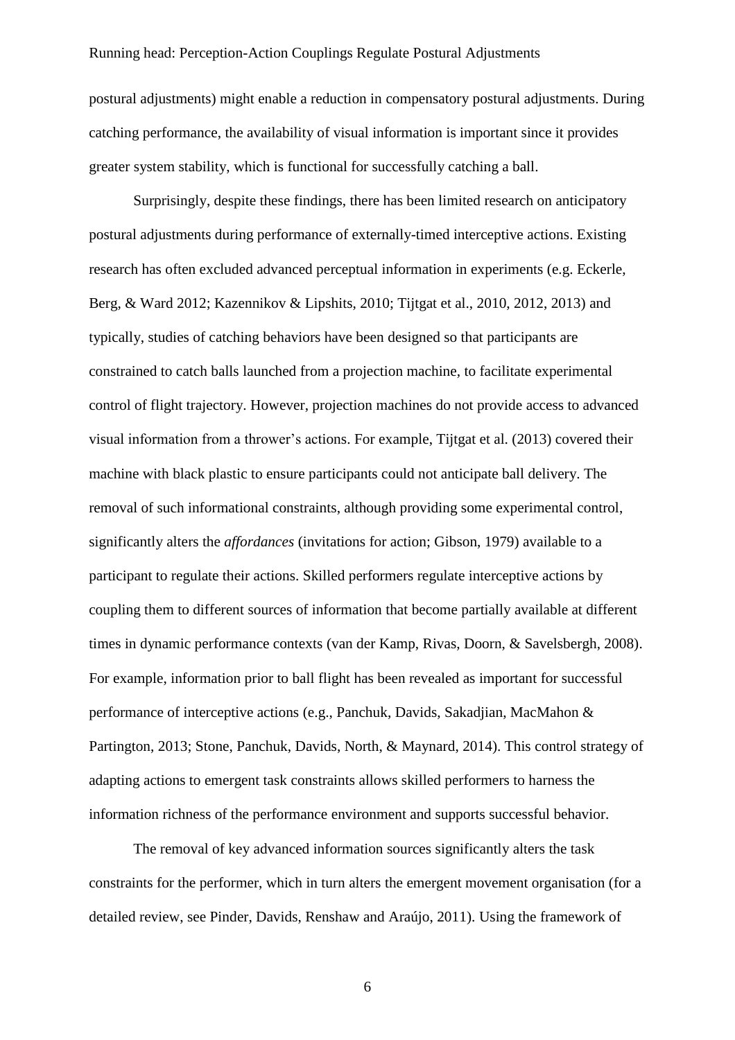postural adjustments) might enable a reduction in compensatory postural adjustments. During catching performance, the availability of visual information is important since it provides greater system stability, which is functional for successfully catching a ball.

Surprisingly, despite these findings, there has been limited research on anticipatory postural adjustments during performance of externally-timed interceptive actions. Existing research has often excluded advanced perceptual information in experiments (e.g. Eckerle, Berg, & Ward 2012; Kazennikov & Lipshits, 2010; Tijtgat et al., 2010, 2012, 2013) and typically, studies of catching behaviors have been designed so that participants are constrained to catch balls launched from a projection machine, to facilitate experimental control of flight trajectory. However, projection machines do not provide access to advanced visual information from a thrower's actions. For example, Tijtgat et al. (2013) covered their machine with black plastic to ensure participants could not anticipate ball delivery. The removal of such informational constraints, although providing some experimental control, significantly alters the *affordances* (invitations for action; Gibson, 1979) available to a participant to regulate their actions. Skilled performers regulate interceptive actions by coupling them to different sources of information that become partially available at different times in dynamic performance contexts (van der Kamp, Rivas, Doorn, & Savelsbergh, 2008). For example, information prior to ball flight has been revealed as important for successful performance of interceptive actions (e.g., Panchuk, Davids, Sakadjian, MacMahon & Partington, 2013; Stone, Panchuk, Davids, North, & Maynard, 2014). This control strategy of adapting actions to emergent task constraints allows skilled performers to harness the information richness of the performance environment and supports successful behavior.

The removal of key advanced information sources significantly alters the task constraints for the performer, which in turn alters the emergent movement organisation (for a detailed review, see Pinder, Davids, Renshaw and Araújo, 2011). Using the framework of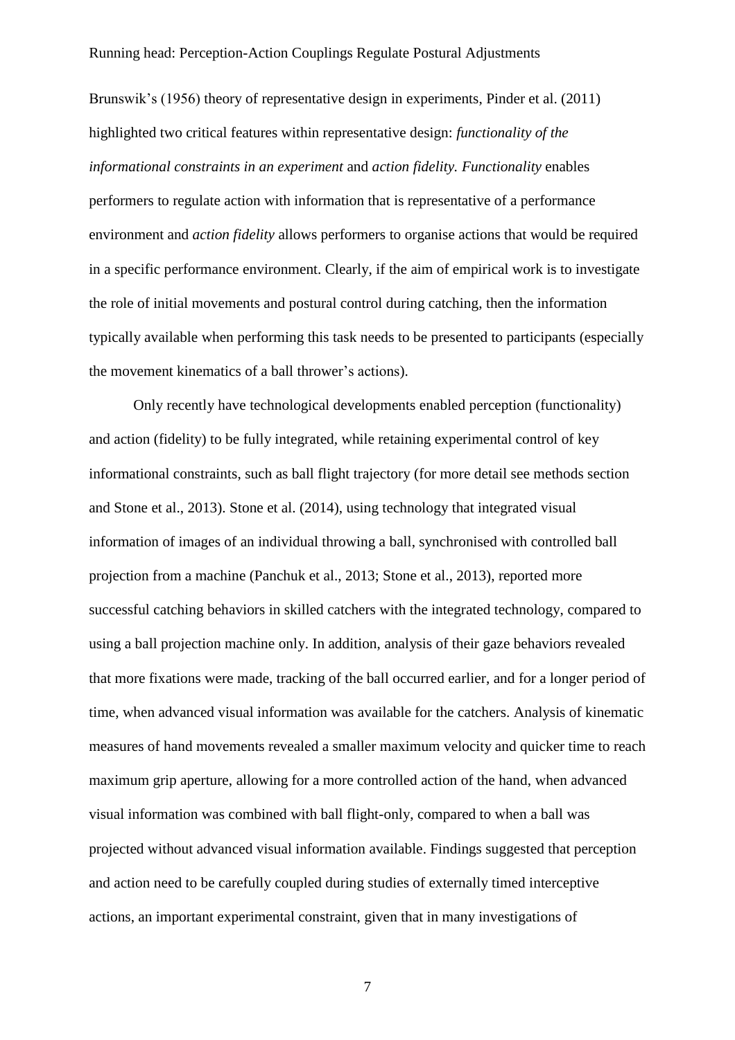Brunswik's (1956) theory of representative design in experiments, Pinder et al. (2011) highlighted two critical features within representative design: *functionality of the informational constraints in an experiment* and *action fidelity. Functionality* enables performers to regulate action with information that is representative of a performance environment and *action fidelity* allows performers to organise actions that would be required in a specific performance environment. Clearly, if the aim of empirical work is to investigate the role of initial movements and postural control during catching, then the information typically available when performing this task needs to be presented to participants (especially the movement kinematics of a ball thrower's actions).

Only recently have technological developments enabled perception (functionality) and action (fidelity) to be fully integrated, while retaining experimental control of key informational constraints, such as ball flight trajectory (for more detail see methods section and Stone et al., 2013). Stone et al. (2014), using technology that integrated visual information of images of an individual throwing a ball, synchronised with controlled ball projection from a machine (Panchuk et al., 2013; Stone et al., 2013), reported more successful catching behaviors in skilled catchers with the integrated technology, compared to using a ball projection machine only. In addition, analysis of their gaze behaviors revealed that more fixations were made, tracking of the ball occurred earlier, and for a longer period of time, when advanced visual information was available for the catchers. Analysis of kinematic measures of hand movements revealed a smaller maximum velocity and quicker time to reach maximum grip aperture, allowing for a more controlled action of the hand, when advanced visual information was combined with ball flight-only, compared to when a ball was projected without advanced visual information available. Findings suggested that perception and action need to be carefully coupled during studies of externally timed interceptive actions, an important experimental constraint, given that in many investigations of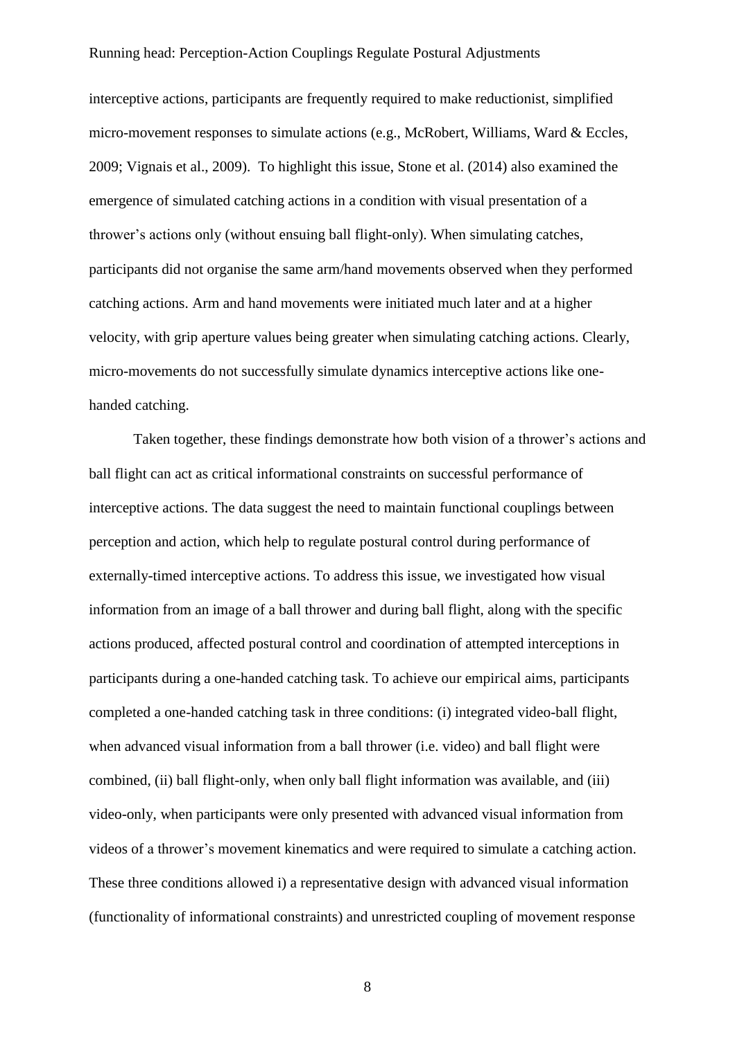interceptive actions, participants are frequently required to make reductionist, simplified micro-movement responses to simulate actions (e.g., McRobert, Williams, Ward & Eccles, 2009; Vignais et al., 2009). To highlight this issue, Stone et al. (2014) also examined the emergence of simulated catching actions in a condition with visual presentation of a thrower's actions only (without ensuing ball flight-only). When simulating catches, participants did not organise the same arm/hand movements observed when they performed catching actions. Arm and hand movements were initiated much later and at a higher velocity, with grip aperture values being greater when simulating catching actions. Clearly, micro-movements do not successfully simulate dynamics interceptive actions like onehanded catching.

Taken together, these findings demonstrate how both vision of a thrower's actions and ball flight can act as critical informational constraints on successful performance of interceptive actions. The data suggest the need to maintain functional couplings between perception and action, which help to regulate postural control during performance of externally-timed interceptive actions. To address this issue, we investigated how visual information from an image of a ball thrower and during ball flight, along with the specific actions produced, affected postural control and coordination of attempted interceptions in participants during a one-handed catching task. To achieve our empirical aims, participants completed a one-handed catching task in three conditions: (i) integrated video-ball flight, when advanced visual information from a ball thrower (i.e. video) and ball flight were combined, (ii) ball flight-only, when only ball flight information was available, and (iii) video-only, when participants were only presented with advanced visual information from videos of a thrower's movement kinematics and were required to simulate a catching action. These three conditions allowed i) a representative design with advanced visual information (functionality of informational constraints) and unrestricted coupling of movement response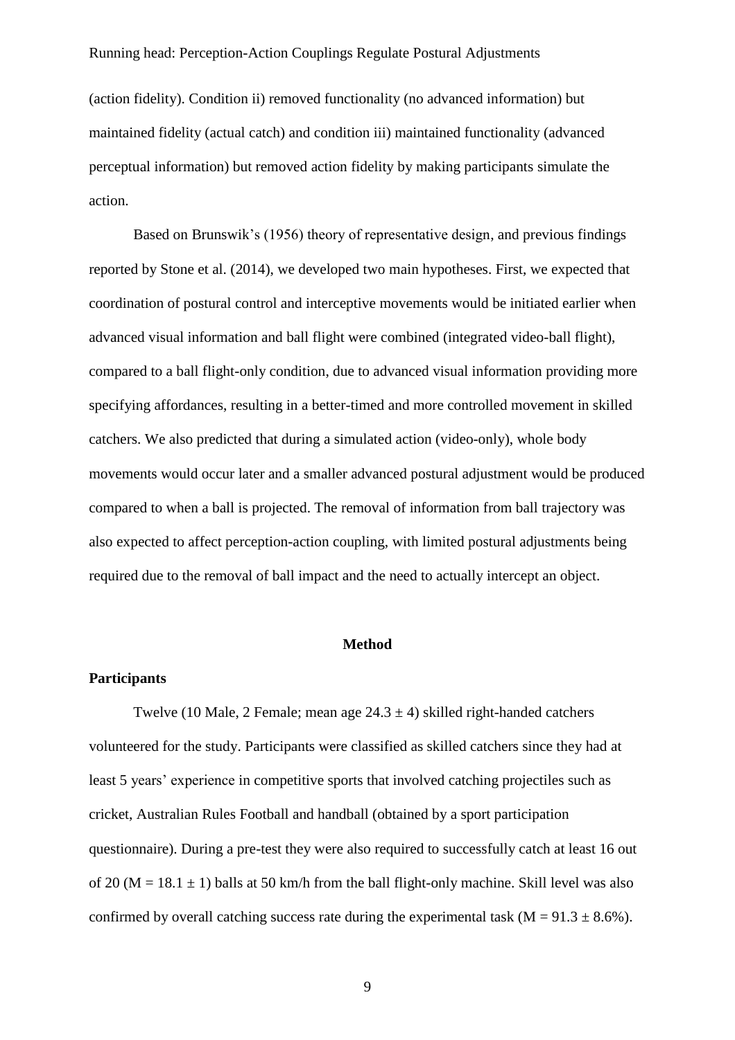(action fidelity). Condition ii) removed functionality (no advanced information) but maintained fidelity (actual catch) and condition iii) maintained functionality (advanced perceptual information) but removed action fidelity by making participants simulate the action.

Based on Brunswik's (1956) theory of representative design, and previous findings reported by Stone et al. (2014), we developed two main hypotheses. First, we expected that coordination of postural control and interceptive movements would be initiated earlier when advanced visual information and ball flight were combined (integrated video-ball flight), compared to a ball flight-only condition, due to advanced visual information providing more specifying affordances, resulting in a better-timed and more controlled movement in skilled catchers. We also predicted that during a simulated action (video-only), whole body movements would occur later and a smaller advanced postural adjustment would be produced compared to when a ball is projected. The removal of information from ball trajectory was also expected to affect perception-action coupling, with limited postural adjustments being required due to the removal of ball impact and the need to actually intercept an object.

### **Method**

### **Participants**

Twelve (10 Male, 2 Female; mean age  $24.3 \pm 4$ ) skilled right-handed catchers volunteered for the study. Participants were classified as skilled catchers since they had at least 5 years' experience in competitive sports that involved catching projectiles such as cricket, Australian Rules Football and handball (obtained by a sport participation questionnaire). During a pre-test they were also required to successfully catch at least 16 out of 20 ( $M = 18.1 \pm 1$ ) balls at 50 km/h from the ball flight-only machine. Skill level was also confirmed by overall catching success rate during the experimental task ( $M = 91.3 \pm 8.6\%$ ).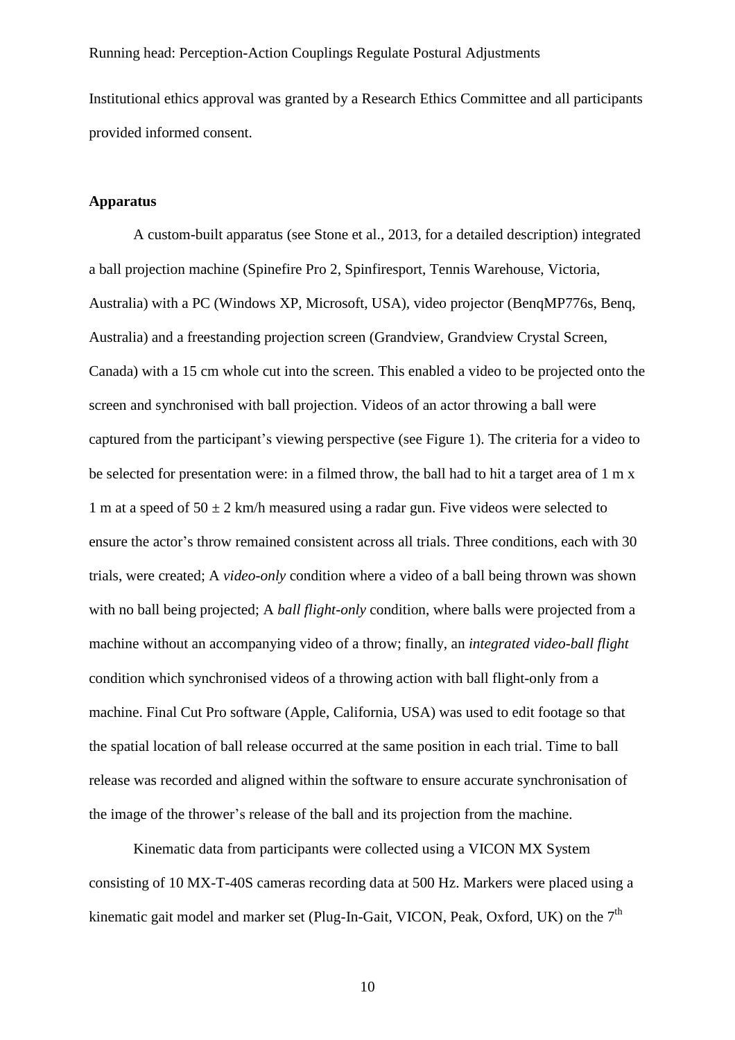Institutional ethics approval was granted by a Research Ethics Committee and all participants provided informed consent.

### **Apparatus**

A custom-built apparatus (see Stone et al., 2013, for a detailed description) integrated a ball projection machine (Spinefire Pro 2, Spinfiresport, Tennis Warehouse, Victoria, Australia) with a PC (Windows XP, Microsoft, USA), video projector (BenqMP776s, Benq, Australia) and a freestanding projection screen (Grandview, Grandview Crystal Screen, Canada) with a 15 cm whole cut into the screen. This enabled a video to be projected onto the screen and synchronised with ball projection. Videos of an actor throwing a ball were captured from the participant's viewing perspective (see Figure 1). The criteria for a video to be selected for presentation were: in a filmed throw, the ball had to hit a target area of 1 m x 1 m at a speed of  $50 \pm 2$  km/h measured using a radar gun. Five videos were selected to ensure the actor's throw remained consistent across all trials. Three conditions, each with 30 trials, were created; A *video-only* condition where a video of a ball being thrown was shown with no ball being projected; A *ball flight-only* condition, where balls were projected from a machine without an accompanying video of a throw; finally, an *integrated video-ball flight* condition which synchronised videos of a throwing action with ball flight-only from a machine. Final Cut Pro software (Apple, California, USA) was used to edit footage so that the spatial location of ball release occurred at the same position in each trial. Time to ball release was recorded and aligned within the software to ensure accurate synchronisation of the image of the thrower's release of the ball and its projection from the machine.

Kinematic data from participants were collected using a VICON MX System consisting of 10 MX-T-40S cameras recording data at 500 Hz. Markers were placed using a kinematic gait model and marker set (Plug-In-Gait, VICON, Peak, Oxford, UK) on the  $7<sup>th</sup>$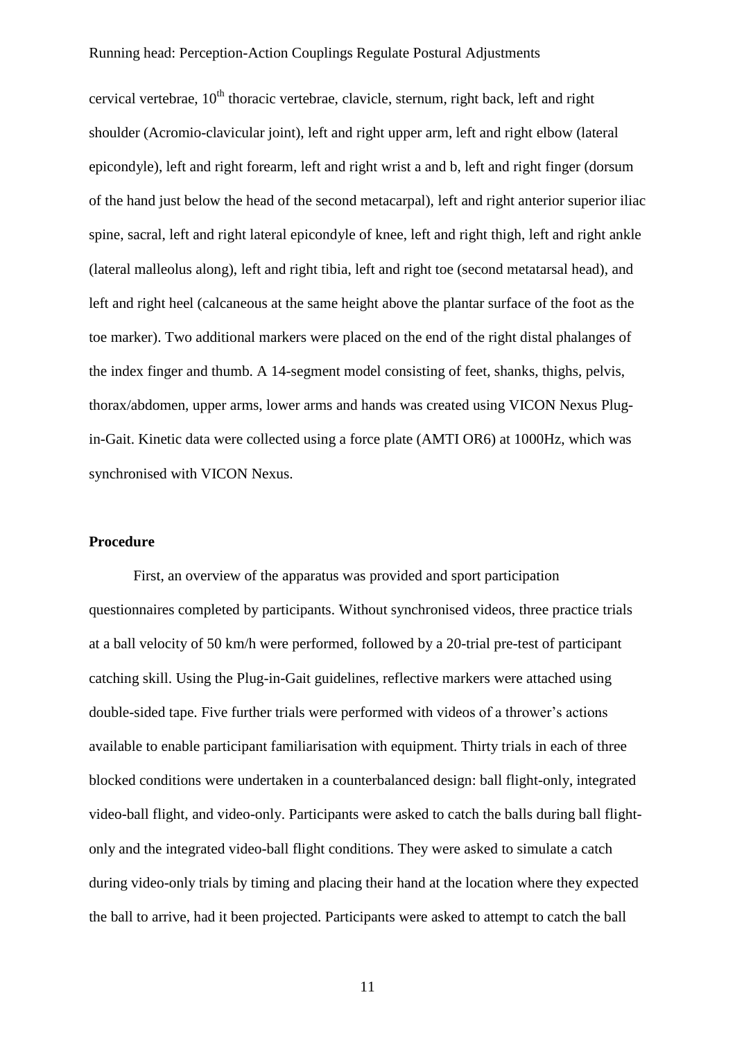cervical vertebrae,  $10<sup>th</sup>$  thoracic vertebrae, clavicle, sternum, right back, left and right shoulder (Acromio-clavicular joint), left and right upper arm, left and right elbow (lateral epicondyle), left and right forearm, left and right wrist a and b, left and right finger (dorsum of the hand just below the head of the second metacarpal), left and right anterior superior iliac spine, sacral, left and right lateral epicondyle of knee, left and right thigh, left and right ankle (lateral malleolus along), left and right tibia, left and right toe (second metatarsal head), and left and right heel (calcaneous at the same height above the plantar surface of the foot as the toe marker). Two additional markers were placed on the end of the right distal phalanges of the index finger and thumb. A 14-segment model consisting of feet, shanks, thighs, pelvis, thorax/abdomen, upper arms, lower arms and hands was created using VICON Nexus Plugin-Gait. Kinetic data were collected using a force plate (AMTI OR6) at 1000Hz, which was synchronised with VICON Nexus.

### **Procedure**

First, an overview of the apparatus was provided and sport participation questionnaires completed by participants. Without synchronised videos, three practice trials at a ball velocity of 50 km/h were performed, followed by a 20-trial pre-test of participant catching skill. Using the Plug-in-Gait guidelines, reflective markers were attached using double-sided tape. Five further trials were performed with videos of a thrower's actions available to enable participant familiarisation with equipment. Thirty trials in each of three blocked conditions were undertaken in a counterbalanced design: ball flight-only, integrated video-ball flight, and video-only. Participants were asked to catch the balls during ball flightonly and the integrated video-ball flight conditions. They were asked to simulate a catch during video-only trials by timing and placing their hand at the location where they expected the ball to arrive, had it been projected. Participants were asked to attempt to catch the ball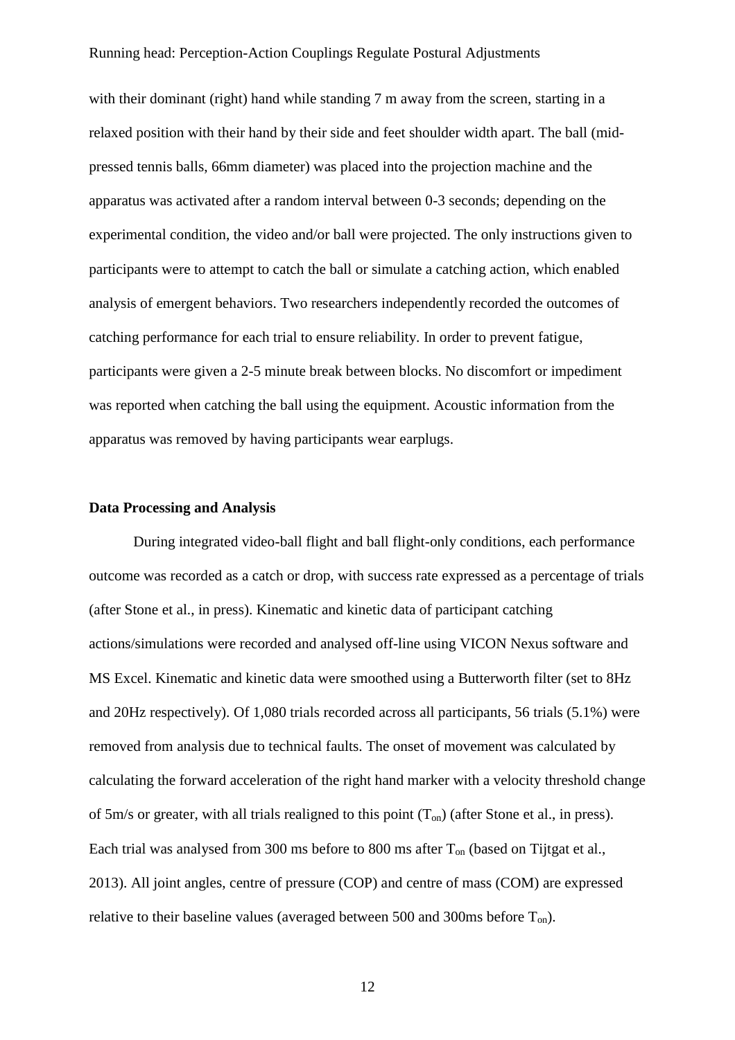with their dominant (right) hand while standing 7 m away from the screen, starting in a relaxed position with their hand by their side and feet shoulder width apart. The ball (midpressed tennis balls, 66mm diameter) was placed into the projection machine and the apparatus was activated after a random interval between 0-3 seconds; depending on the experimental condition, the video and/or ball were projected. The only instructions given to participants were to attempt to catch the ball or simulate a catching action, which enabled analysis of emergent behaviors. Two researchers independently recorded the outcomes of catching performance for each trial to ensure reliability. In order to prevent fatigue, participants were given a 2-5 minute break between blocks. No discomfort or impediment was reported when catching the ball using the equipment. Acoustic information from the apparatus was removed by having participants wear earplugs.

### **Data Processing and Analysis**

During integrated video-ball flight and ball flight-only conditions, each performance outcome was recorded as a catch or drop, with success rate expressed as a percentage of trials (after Stone et al., in press). Kinematic and kinetic data of participant catching actions/simulations were recorded and analysed off-line using VICON Nexus software and MS Excel. Kinematic and kinetic data were smoothed using a Butterworth filter (set to 8Hz and 20Hz respectively). Of 1,080 trials recorded across all participants, 56 trials (5.1%) were removed from analysis due to technical faults. The onset of movement was calculated by calculating the forward acceleration of the right hand marker with a velocity threshold change of 5m/s or greater, with all trials realigned to this point  $(T_{on})$  (after Stone et al., in press). Each trial was analysed from 300 ms before to 800 ms after  $T_{on}$  (based on Tijtgat et al., 2013). All joint angles, centre of pressure (COP) and centre of mass (COM) are expressed relative to their baseline values (averaged between 500 and 300ms before  $T_{on}$ ).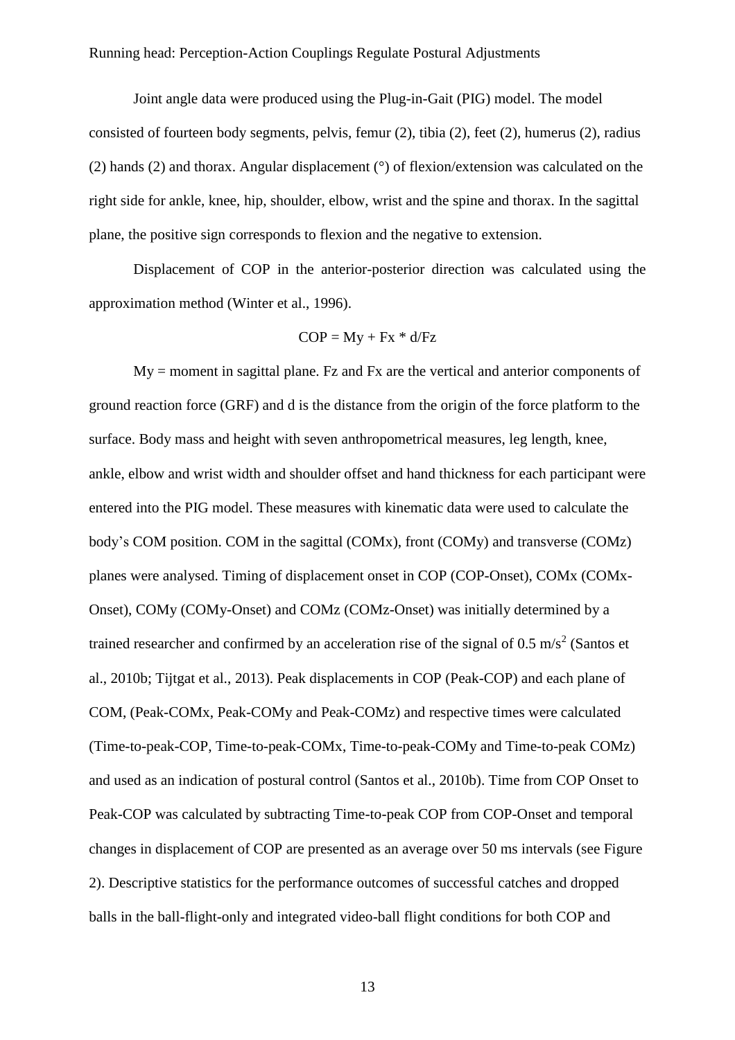Joint angle data were produced using the Plug-in-Gait (PIG) model. The model consisted of fourteen body segments, pelvis, femur (2), tibia (2), feet (2), humerus (2), radius (2) hands (2) and thorax. Angular displacement (°) of flexion/extension was calculated on the right side for ankle, knee, hip, shoulder, elbow, wrist and the spine and thorax. In the sagittal plane, the positive sign corresponds to flexion and the negative to extension.

Displacement of COP in the anterior-posterior direction was calculated using the approximation method (Winter et al., 1996).

$$
COP = My + Fx * d/Fz
$$

My = moment in sagittal plane. Fz and Fx are the vertical and anterior components of ground reaction force (GRF) and d is the distance from the origin of the force platform to the surface. Body mass and height with seven anthropometrical measures, leg length, knee, ankle, elbow and wrist width and shoulder offset and hand thickness for each participant were entered into the PIG model. These measures with kinematic data were used to calculate the body's COM position. COM in the sagittal (COMx), front (COMy) and transverse (COMz) planes were analysed. Timing of displacement onset in COP (COP-Onset), COMx (COMx-Onset), COMy (COMy-Onset) and COMz (COMz-Onset) was initially determined by a trained researcher and confirmed by an acceleration rise of the signal of 0.5 m/s<sup>2</sup> (Santos et al., 2010b; Tijtgat et al., 2013). Peak displacements in COP (Peak-COP) and each plane of COM, (Peak-COMx, Peak-COMy and Peak-COMz) and respective times were calculated (Time-to-peak-COP, Time-to-peak-COMx, Time-to-peak-COMy and Time-to-peak COMz) and used as an indication of postural control (Santos et al., 2010b). Time from COP Onset to Peak-COP was calculated by subtracting Time-to-peak COP from COP-Onset and temporal changes in displacement of COP are presented as an average over 50 ms intervals (see Figure 2). Descriptive statistics for the performance outcomes of successful catches and dropped balls in the ball-flight-only and integrated video-ball flight conditions for both COP and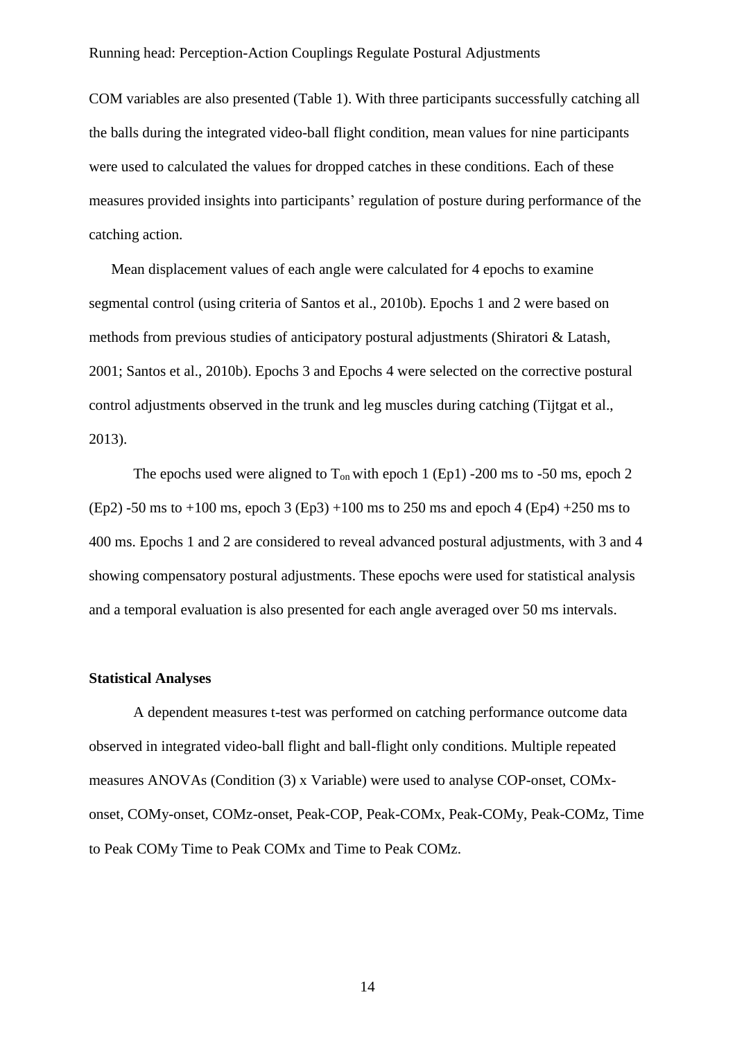COM variables are also presented (Table 1). With three participants successfully catching all the balls during the integrated video-ball flight condition, mean values for nine participants were used to calculated the values for dropped catches in these conditions. Each of these measures provided insights into participants' regulation of posture during performance of the catching action.

Mean displacement values of each angle were calculated for 4 epochs to examine segmental control (using criteria of Santos et al., 2010b). Epochs 1 and 2 were based on methods from previous studies of anticipatory postural adjustments (Shiratori & Latash, 2001; Santos et al., 2010b). Epochs 3 and Epochs 4 were selected on the corrective postural control adjustments observed in the trunk and leg muscles during catching (Tijtgat et al., 2013).

The epochs used were aligned to  $T_{on}$  with epoch 1 (Ep1) -200 ms to -50 ms, epoch 2 (Ep2) -50 ms to +100 ms, epoch 3 (Ep3) +100 ms to 250 ms and epoch 4 (Ep4) +250 ms to 400 ms. Epochs 1 and 2 are considered to reveal advanced postural adjustments, with 3 and 4 showing compensatory postural adjustments. These epochs were used for statistical analysis and a temporal evaluation is also presented for each angle averaged over 50 ms intervals.

#### **Statistical Analyses**

A dependent measures t-test was performed on catching performance outcome data observed in integrated video-ball flight and ball-flight only conditions. Multiple repeated measures ANOVAs (Condition (3) x Variable) were used to analyse COP-onset, COMxonset, COMy-onset, COMz-onset, Peak-COP, Peak-COMx, Peak-COMy, Peak-COMz, Time to Peak COMy Time to Peak COMx and Time to Peak COMz.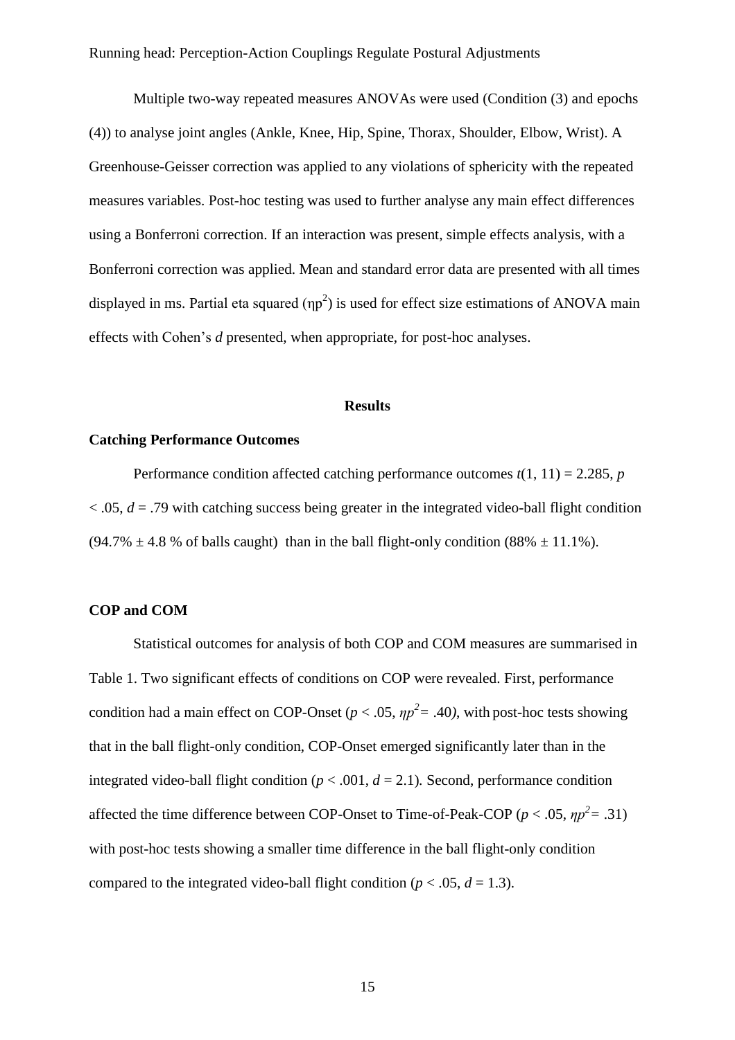Multiple two-way repeated measures ANOVAs were used (Condition (3) and epochs (4)) to analyse joint angles (Ankle, Knee, Hip, Spine, Thorax, Shoulder, Elbow, Wrist). A Greenhouse-Geisser correction was applied to any violations of sphericity with the repeated measures variables. Post-hoc testing was used to further analyse any main effect differences using a Bonferroni correction. If an interaction was present, simple effects analysis, with a Bonferroni correction was applied. Mean and standard error data are presented with all times displayed in ms. Partial eta squared  $(np^2)$  is used for effect size estimations of ANOVA main effects with Cohen's *d* presented, when appropriate, for post-hoc analyses.

#### **Results**

### **Catching Performance Outcomes**

Performance condition affected catching performance outcomes  $t(1, 11) = 2.285$ , *p*  $\alpha$ ,  $\alpha$ ,  $d = 0.79$  with catching success being greater in the integrated video-ball flight condition  $(94.7\% \pm 4.8\%$  of balls caught) than in the ball flight-only condition  $(88\% \pm 11.1\%)$ .

### **COP and COM**

Statistical outcomes for analysis of both COP and COM measures are summarised in Table 1. Two significant effects of conditions on COP were revealed. First, performance condition had a main effect on COP-Onset ( $p < .05$ ,  $\eta p^2 = .40$ ), with post-hoc tests showing that in the ball flight-only condition, COP-Onset emerged significantly later than in the integrated video-ball flight condition ( $p < .001$ ,  $d = 2.1$ ). Second, performance condition affected the time difference between COP-Onset to Time-of-Peak-COP ( $p < .05$ ,  $\eta p^2 = .31$ ) with post-hoc tests showing a smaller time difference in the ball flight-only condition compared to the integrated video-ball flight condition ( $p < .05$ ,  $d = 1.3$ ).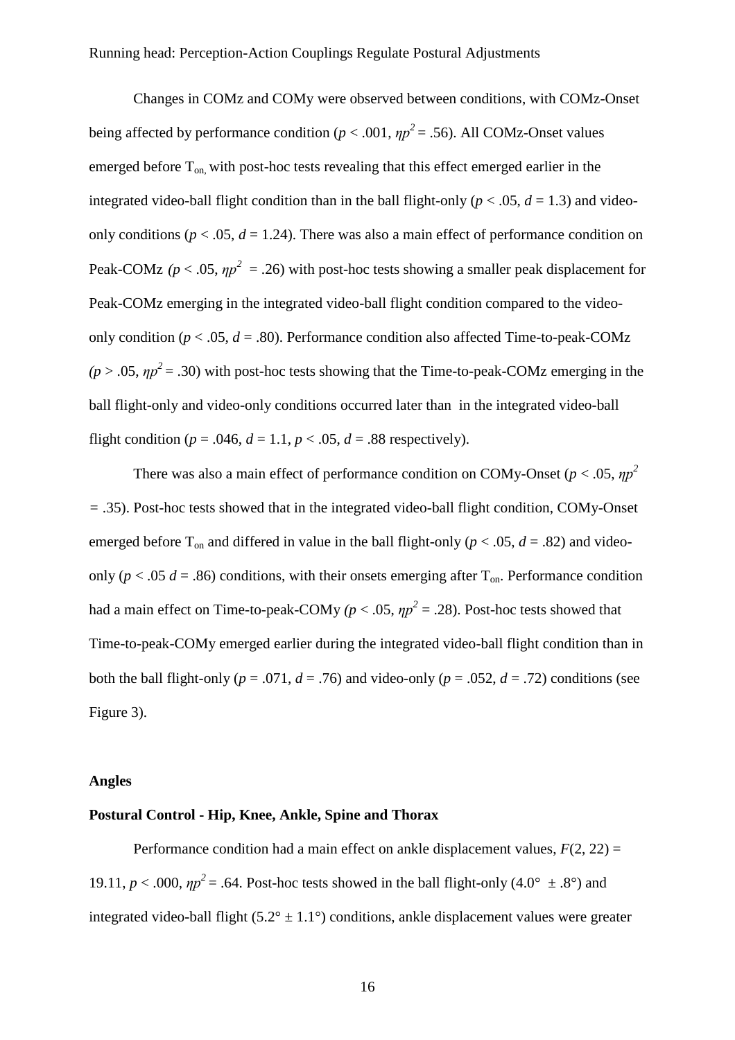Changes in COMz and COMy were observed between conditions, with COMz-Onset being affected by performance condition ( $p < .001$ ,  $np^2 = .56$ ). All COMz-Onset values emerged before  $T_{on}$ , with post-hoc tests revealing that this effect emerged earlier in the integrated video-ball flight condition than in the ball flight-only ( $p < .05$ ,  $d = 1.3$ ) and videoonly conditions ( $p < .05$ ,  $d = 1.24$ ). There was also a main effect of performance condition on Peak-COMz ( $p < .05$ ,  $\eta p^2 = .26$ ) with post-hoc tests showing a smaller peak displacement for Peak-COMz emerging in the integrated video-ball flight condition compared to the videoonly condition ( $p < .05$ ,  $d = .80$ ). Performance condition also affected Time-to-peak-COMz  $(p > .05, \eta p^2 = .30)$  with post-hoc tests showing that the Time-to-peak-COMz emerging in the ball flight-only and video-only conditions occurred later than in the integrated video-ball flight condition ( $p = .046$ ,  $d = 1.1$ ,  $p < .05$ ,  $d = .88$  respectively).

There was also a main effect of performance condition on COMy-Onset ( $p < .05$ ,  $np^2$ ) *=* .35). Post-hoc tests showed that in the integrated video-ball flight condition, COMy-Onset emerged before  $T_{on}$  and differed in value in the ball flight-only ( $p < .05$ ,  $d = .82$ ) and videoonly ( $p < .05$   $d = .86$ ) conditions, with their onsets emerging after  $T_{on}$ . Performance condition had a main effect on Time-to-peak-COMy  $(p < .05, np^2 = .28)$ . Post-hoc tests showed that Time-to-peak-COMy emerged earlier during the integrated video-ball flight condition than in both the ball flight-only ( $p = .071$ ,  $d = .76$ ) and video-only ( $p = .052$ ,  $d = .72$ ) conditions (see Figure 3).

#### **Angles**

#### **Postural Control - Hip, Knee, Ankle, Spine and Thorax**

Performance condition had a main effect on ankle displacement values,  $F(2, 22) =$ 19.11,  $p < .000$ ,  $\eta p^2 = .64$ . Post-hoc tests showed in the ball flight-only (4.0°  $\pm$  .8°) and integrated video-ball flight  $(5.2^{\circ} \pm 1.1^{\circ})$  conditions, ankle displacement values were greater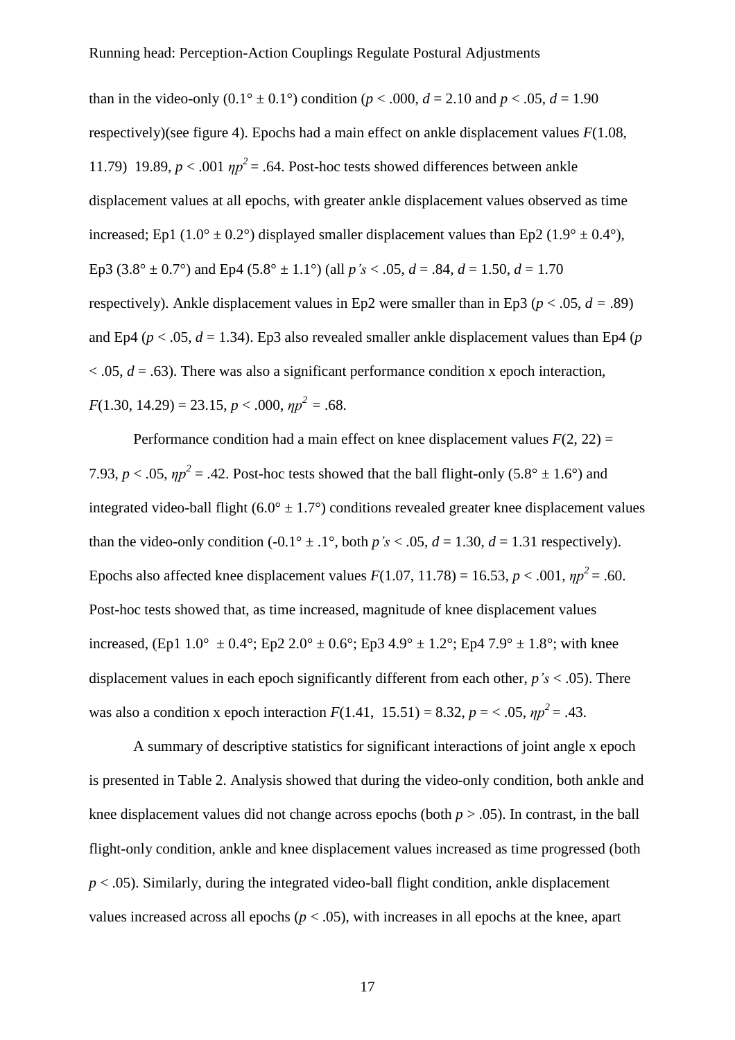than in the video-only  $(0.1^{\circ} \pm 0.1^{\circ})$  condition ( $p < .000$ ,  $d = 2.10$  and  $p < .05$ ,  $d = 1.90$ respectively)(see figure 4). Epochs had a main effect on ankle displacement values *F*(1.08, 11.79) 19.89,  $p < .001$   $np^2 = .64$ . Post-hoc tests showed differences between ankle displacement values at all epochs, with greater ankle displacement values observed as time increased; Ep1 (1.0°  $\pm$  0.2°) displayed smaller displacement values than Ep2 (1.9°  $\pm$  0.4°), Ep3 (3.8°  $\pm$  0.7°) and Ep4 (5.8°  $\pm$  1.1°) (all *p*'s < .05, *d* = .84, *d* = 1.50, *d* = 1.70 respectively). Ankle displacement values in Ep2 were smaller than in Ep3 ( $p < .05$ ,  $d = .89$ ) and Ep4 ( $p < .05$ ,  $d = 1.34$ ). Ep3 also revealed smaller ankle displacement values than Ep4 ( $p$ )  $\alpha$  < .05, *d* = .63). There was also a significant performance condition x epoch interaction,  $F(1.30, 14.29) = 23.15, p < .000, \eta p^2 = .68.$ 

Performance condition had a main effect on knee displacement values  $F(2, 22) =$ 7.93,  $p < .05$ ,  $np^2 = .42$ . Post-hoc tests showed that the ball flight-only  $(5.8^\circ \pm 1.6^\circ)$  and integrated video-ball flight (6.0°  $\pm$  1.7°) conditions revealed greater knee displacement values than the video-only condition  $(-0.1^\circ \pm .1^\circ)$ , both  $p's < .05$ ,  $d = 1.30$ ,  $d = 1.31$  respectively). Epochs also affected knee displacement values  $F(1.07, 11.78) = 16.53, p < .001, \eta p^2 = .60$ . Post-hoc tests showed that, as time increased, magnitude of knee displacement values increased, (Ep1  $1.0^{\circ} \pm 0.4^{\circ}$ ; Ep2  $2.0^{\circ} \pm 0.6^{\circ}$ ; Ep3  $4.9^{\circ} \pm 1.2^{\circ}$ ; Ep4  $7.9^{\circ} \pm 1.8^{\circ}$ ; with knee displacement values in each epoch significantly different from each other, *p's* < .05). There was also a condition x epoch interaction  $F(1.41, 15.51) = 8.32, p = <.05, \eta p^2 = .43.$ 

A summary of descriptive statistics for significant interactions of joint angle x epoch is presented in Table 2. Analysis showed that during the video-only condition, both ankle and knee displacement values did not change across epochs (both  $p > .05$ ). In contrast, in the ball flight-only condition, ankle and knee displacement values increased as time progressed (both  $p < .05$ ). Similarly, during the integrated video-ball flight condition, ankle displacement values increased across all epochs  $(p < .05)$ , with increases in all epochs at the knee, apart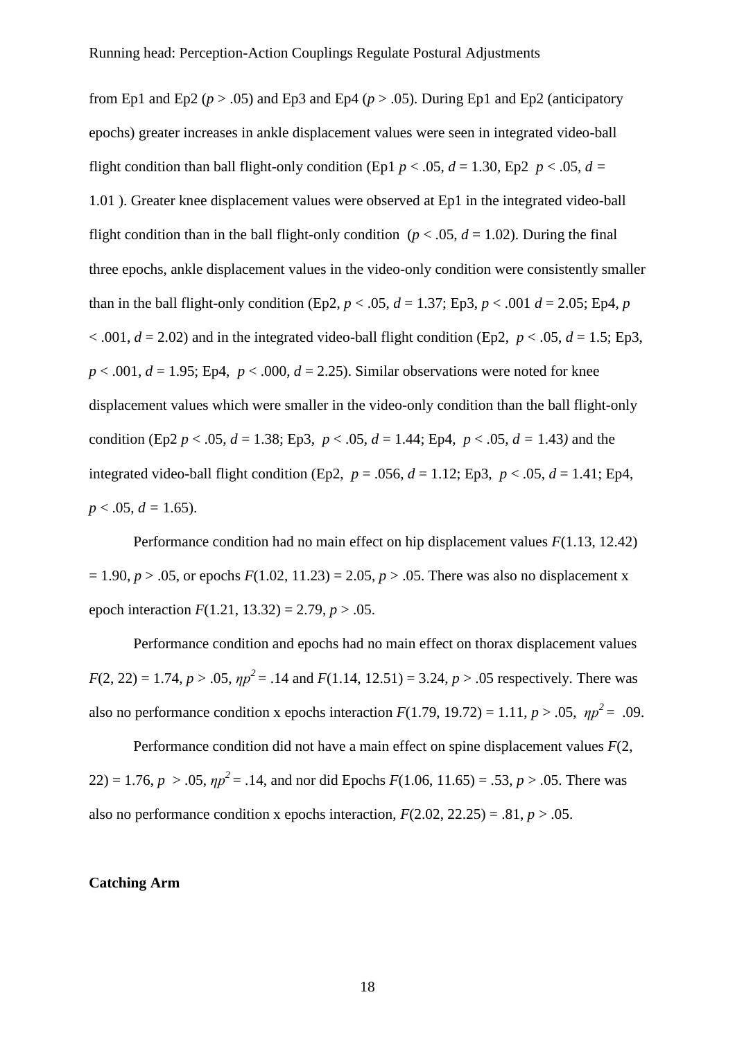from Ep1 and Ep2 ( $p > .05$ ) and Ep3 and Ep4 ( $p > .05$ ). During Ep1 and Ep2 (anticipatory epochs) greater increases in ankle displacement values were seen in integrated video-ball flight condition than ball flight-only condition (Ep1  $p < .05$ ,  $d = 1.30$ , Ep2  $p < .05$ ,  $d =$ 1.01 ). Greater knee displacement values were observed at Ep1 in the integrated video-ball flight condition than in the ball flight-only condition ( $p < .05$ ,  $d = 1.02$ ). During the final three epochs, ankle displacement values in the video-only condition were consistently smaller than in the ball flight-only condition (Ep2,  $p < .05$ ,  $d = 1.37$ ; Ep3,  $p < .001$   $d = 2.05$ ; Ep4,  $p$  $< .001, d = 2.02$ ) and in the integrated video-ball flight condition (Ep2,  $p < .05, d = 1.5$ ; Ep3,  $p < .001$ ,  $d = 1.95$ ; Ep4,  $p < .000$ ,  $d = 2.25$ ). Similar observations were noted for knee displacement values which were smaller in the video-only condition than the ball flight-only condition (Ep2  $p < .05$ ,  $d = 1.38$ ; Ep3,  $p < .05$ ,  $d = 1.44$ ; Ep4,  $p < .05$ ,  $d = 1.43$ ) and the integrated video-ball flight condition (Ep2,  $p = .056$ ,  $d = 1.12$ ; Ep3,  $p < .05$ ,  $d = 1.41$ ; Ep4,  $p < .05$ ,  $d = 1.65$ ).

Performance condition had no main effect on hip displacement values *F*(1.13, 12.42)  $= 1.90, p > .05$ , or epochs  $F(1.02, 11.23) = 2.05, p > .05$ . There was also no displacement x epoch interaction  $F(1.21, 13.32) = 2.79, p > .05$ .

Performance condition and epochs had no main effect on thorax displacement values  $F(2, 22) = 1.74$ ,  $p > .05$ ,  $np^2 = .14$  and  $F(1.14, 12.51) = 3.24$ ,  $p > .05$  respectively. There was also no performance condition x epochs interaction  $F(1.79, 19.72) = 1.11, p > .05, \eta p^2 = .09$ .

Performance condition did not have a main effect on spine displacement values *F*(2,  $22$ ) = 1.76,  $p > 0.05$ ,  $\eta p^2 = 0.14$ , and nor did Epochs  $F(1.06, 11.65) = 0.53$ ,  $p > 0.05$ . There was also no performance condition x epochs interaction,  $F(2.02, 22.25) = .81$ ,  $p > .05$ .

### **Catching Arm**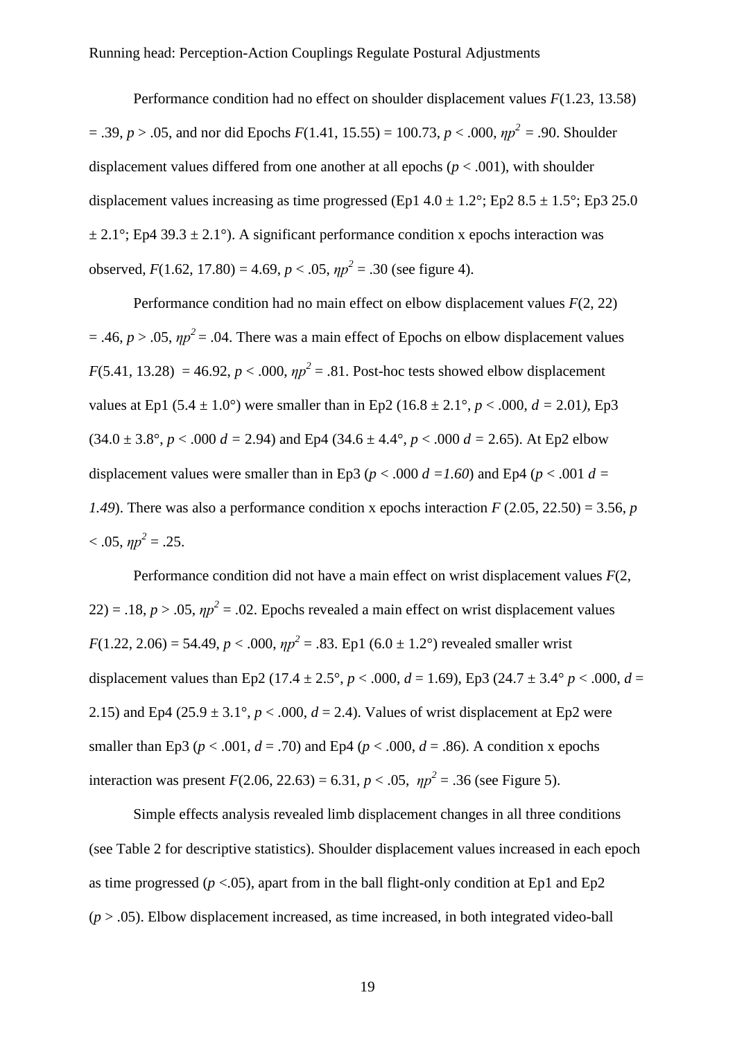Performance condition had no effect on shoulder displacement values *F*(1.23, 13.58) = .39, *p* > .05, and nor did Epochs *F*(1.41, 15.55) = 100.73, *p* < .000, *ηp <sup>2</sup>*= .90. Shoulder displacement values differed from one another at all epochs ( $p < .001$ ), with shoulder displacement values increasing as time progressed (Ep1  $4.0 \pm 1.2^{\circ}$ ; Ep2  $8.5 \pm 1.5^{\circ}$ ; Ep3 25.0  $\pm$  2.1°; Ep4 39.3  $\pm$  2.1°). A significant performance condition x epochs interaction was observed,  $F(1.62, 17.80) = 4.69, p < .05, \eta p^2 = .30$  (see figure 4).

Performance condition had no main effect on elbow displacement values *F*(2, 22)  $= .46, p > .05, \eta p^2 = .04$ . There was a main effect of Epochs on elbow displacement values *F*(5.41, 13.28) = 46.92, *p* < .000,  $np^2$  = .81. Post-hoc tests showed elbow displacement values at Ep1 (5.4  $\pm$  1.0°) were smaller than in Ep2 (16.8  $\pm$  2.1°, *p* < .000, *d* = 2.01), Ep3  $(34.0 \pm 3.8^{\circ}, p < .000 d = 2.94)$  and Ep4  $(34.6 \pm 4.4^{\circ}, p < .000 d = 2.65)$ . At Ep2 elbow displacement values were smaller than in Ep3 ( $p < .000 d = 1.60$ ) and Ep4 ( $p < .001 d =$ *1.49*). There was also a performance condition x epochs interaction  $F(2.05, 22.50) = 3.56$ , *p*  $< .05, \eta p^2 = .25.$ 

Performance condition did not have a main effect on wrist displacement values *F*(2,  $22$ ) = .18,  $p > .05$ ,  $np^2 = .02$ . Epochs revealed a main effect on wrist displacement values *F*(1.22, 2.06) = 54.49, *p* < .000,  $np^2$  = .83. Ep1 (6.0 ± 1.2°) revealed smaller wrist displacement values than Ep2 (17.4  $\pm$  2.5°, *p* < .000, *d* = 1.69), Ep3 (24.7  $\pm$  3.4° *p* < .000, *d* = 2.15) and Ep4 (25.9  $\pm$  3.1°, *p* < .000, *d* = 2.4). Values of wrist displacement at Ep2 were smaller than Ep3 ( $p < .001$ ,  $d = .70$ ) and Ep4 ( $p < .000$ ,  $d = .86$ ). A condition x epochs interaction was present  $F(2.06, 22.63) = 6.31, p < .05, \eta p^2 = .36$  (see Figure 5).

Simple effects analysis revealed limb displacement changes in all three conditions (see Table 2 for descriptive statistics). Shoulder displacement values increased in each epoch as time progressed ( $p < .05$ ), apart from in the ball flight-only condition at Ep1 and Ep2  $(p > .05)$ . Elbow displacement increased, as time increased, in both integrated video-ball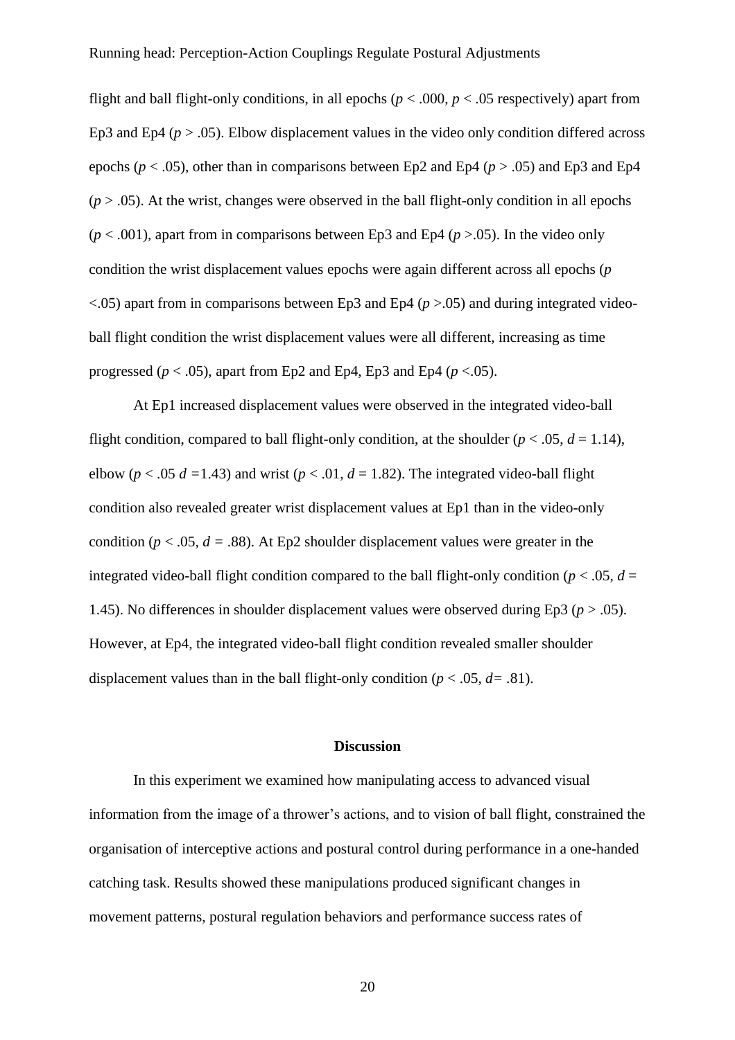flight and ball flight-only conditions, in all epochs ( $p < .000$ ,  $p < .05$  respectively) apart from Ep3 and Ep4 ( $p > .05$ ). Elbow displacement values in the video only condition differed across epochs ( $p < .05$ ), other than in comparisons between Ep2 and Ep4 ( $p > .05$ ) and Ep3 and Ep4  $(p > .05)$ . At the wrist, changes were observed in the ball flight-only condition in all epochs  $(p < .001)$ , apart from in comparisons between Ep3 and Ep4 ( $p > .05$ ). In the video only condition the wrist displacement values epochs were again different across all epochs (*p*  $\lt$ .05) apart from in comparisons between Ep3 and Ep4 ( $p$  >.05) and during integrated videoball flight condition the wrist displacement values were all different, increasing as time progressed ( $p < .05$ ), apart from Ep2 and Ep4, Ep3 and Ep4 ( $p < .05$ ).

At Ep1 increased displacement values were observed in the integrated video-ball flight condition, compared to ball flight-only condition, at the shoulder  $(p < .05, d = 1.14)$ , elbow ( $p < .05$   $d = 1.43$ ) and wrist ( $p < .01$ ,  $d = 1.82$ ). The integrated video-ball flight condition also revealed greater wrist displacement values at Ep1 than in the video-only condition ( $p < .05$ ,  $d = .88$ ). At Ep2 shoulder displacement values were greater in the integrated video-ball flight condition compared to the ball flight-only condition ( $p < .05$ ,  $d =$ 1.45). No differences in shoulder displacement values were observed during Ep3  $(p > .05)$ . However, at Ep4, the integrated video-ball flight condition revealed smaller shoulder displacement values than in the ball flight-only condition ( $p < .05$ ,  $d = .81$ ).

#### **Discussion**

In this experiment we examined how manipulating access to advanced visual information from the image of a thrower's actions, and to vision of ball flight, constrained the organisation of interceptive actions and postural control during performance in a one-handed catching task. Results showed these manipulations produced significant changes in movement patterns, postural regulation behaviors and performance success rates of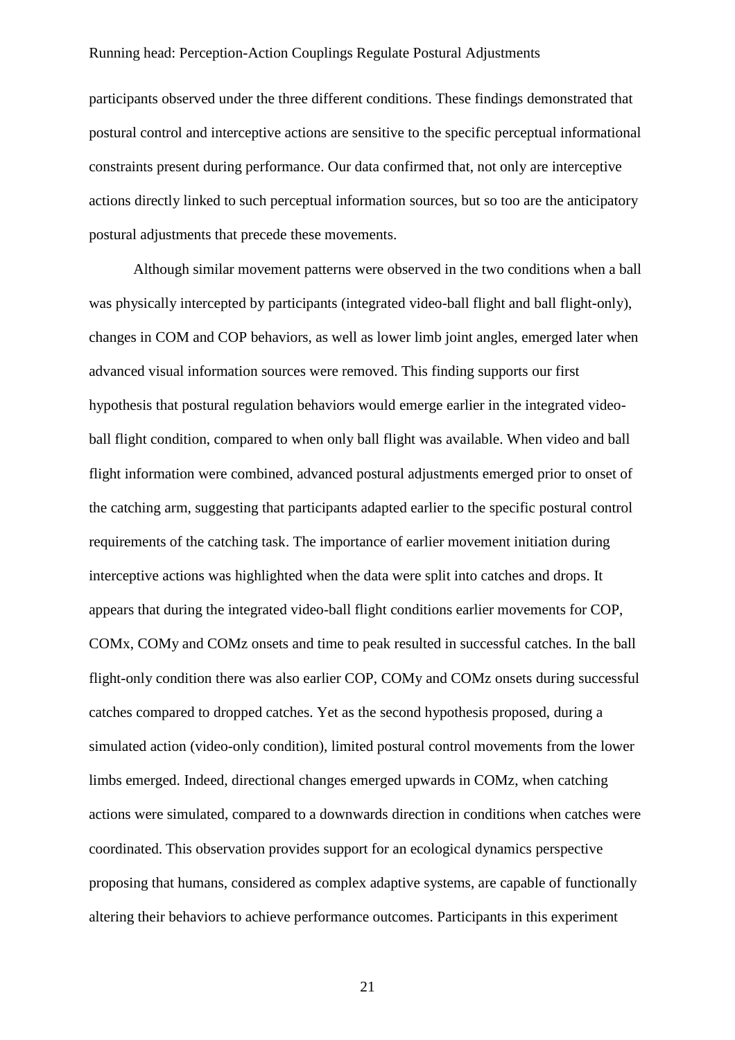participants observed under the three different conditions. These findings demonstrated that postural control and interceptive actions are sensitive to the specific perceptual informational constraints present during performance. Our data confirmed that, not only are interceptive actions directly linked to such perceptual information sources, but so too are the anticipatory postural adjustments that precede these movements.

Although similar movement patterns were observed in the two conditions when a ball was physically intercepted by participants (integrated video-ball flight and ball flight-only), changes in COM and COP behaviors, as well as lower limb joint angles, emerged later when advanced visual information sources were removed. This finding supports our first hypothesis that postural regulation behaviors would emerge earlier in the integrated videoball flight condition, compared to when only ball flight was available. When video and ball flight information were combined, advanced postural adjustments emerged prior to onset of the catching arm, suggesting that participants adapted earlier to the specific postural control requirements of the catching task. The importance of earlier movement initiation during interceptive actions was highlighted when the data were split into catches and drops. It appears that during the integrated video-ball flight conditions earlier movements for COP, COMx, COMy and COMz onsets and time to peak resulted in successful catches. In the ball flight-only condition there was also earlier COP, COMy and COMz onsets during successful catches compared to dropped catches. Yet as the second hypothesis proposed, during a simulated action (video-only condition), limited postural control movements from the lower limbs emerged. Indeed, directional changes emerged upwards in COMz, when catching actions were simulated, compared to a downwards direction in conditions when catches were coordinated. This observation provides support for an ecological dynamics perspective proposing that humans, considered as complex adaptive systems, are capable of functionally altering their behaviors to achieve performance outcomes. Participants in this experiment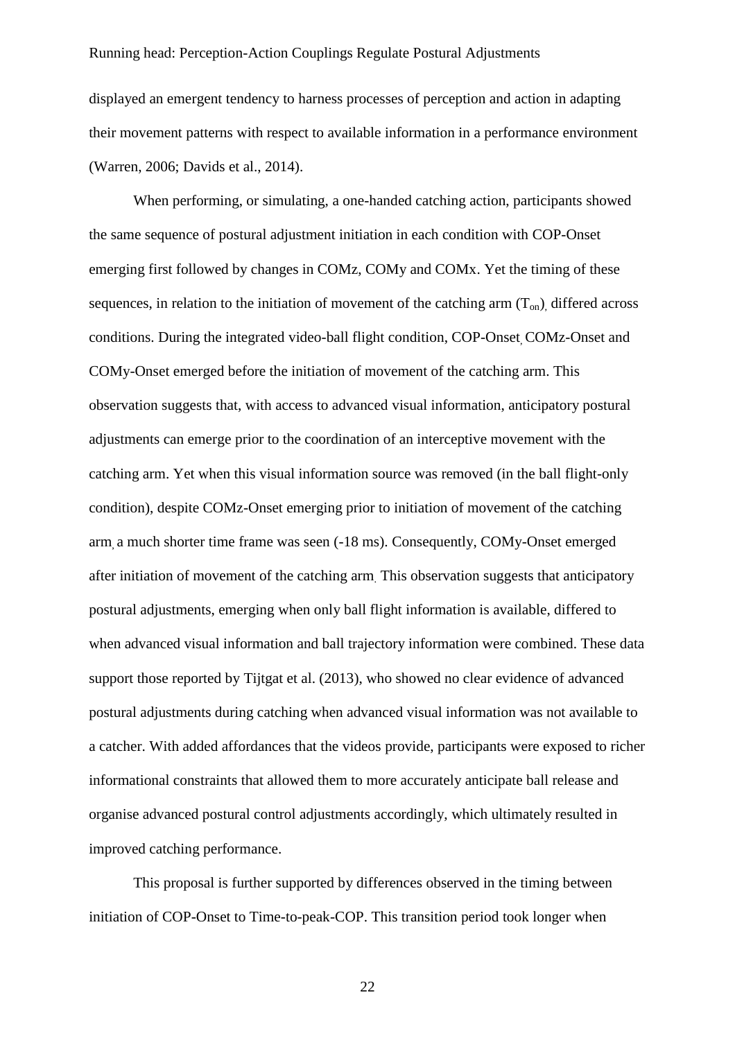displayed an emergent tendency to harness processes of perception and action in adapting their movement patterns with respect to available information in a performance environment (Warren, 2006; Davids et al., 2014).

When performing, or simulating, a one-handed catching action, participants showed the same sequence of postural adjustment initiation in each condition with COP-Onset emerging first followed by changes in COMz, COMy and COMx. Yet the timing of these sequences, in relation to the initiation of movement of the catching arm  $(T_{on})$ , differed across conditions. During the integrated video-ball flight condition, COP-Onset, COMz-Onset and COMy-Onset emerged before the initiation of movement of the catching arm. This observation suggests that, with access to advanced visual information, anticipatory postural adjustments can emerge prior to the coordination of an interceptive movement with the catching arm. Yet when this visual information source was removed (in the ball flight-only condition), despite COMz-Onset emerging prior to initiation of movement of the catching arm, a much shorter time frame was seen (-18 ms). Consequently, COMy-Onset emerged after initiation of movement of the catching arm. This observation suggests that anticipatory postural adjustments, emerging when only ball flight information is available, differed to when advanced visual information and ball trajectory information were combined. These data support those reported by Tijtgat et al. (2013), who showed no clear evidence of advanced postural adjustments during catching when advanced visual information was not available to a catcher. With added affordances that the videos provide, participants were exposed to richer informational constraints that allowed them to more accurately anticipate ball release and organise advanced postural control adjustments accordingly, which ultimately resulted in improved catching performance.

This proposal is further supported by differences observed in the timing between initiation of COP-Onset to Time-to-peak-COP. This transition period took longer when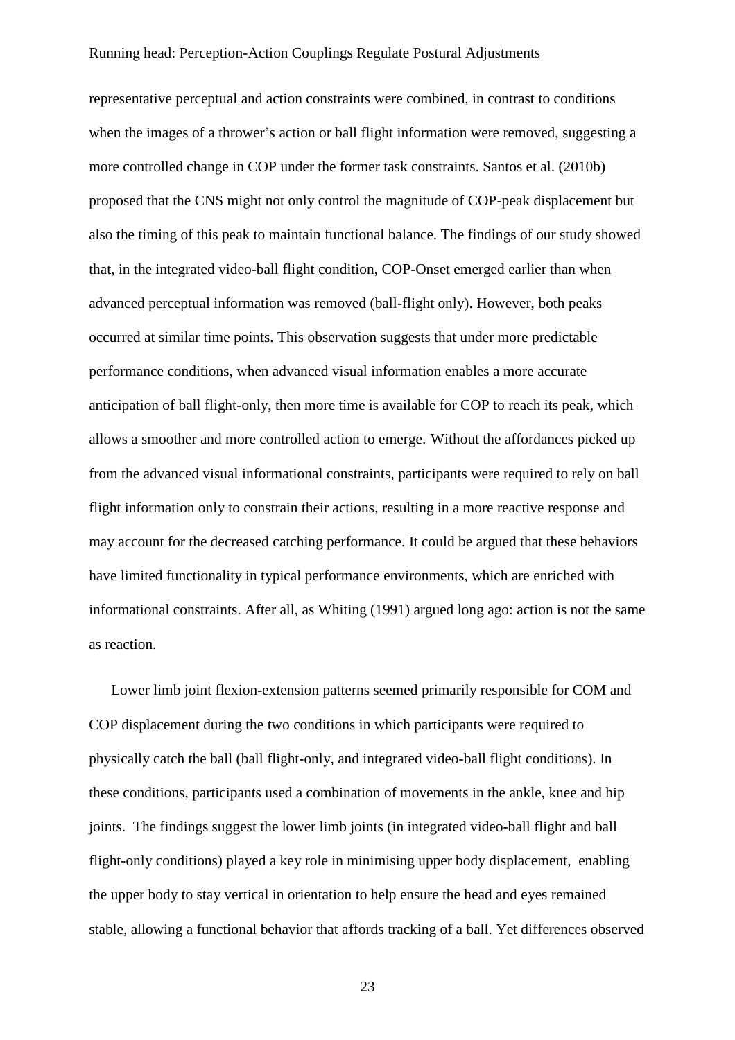representative perceptual and action constraints were combined, in contrast to conditions when the images of a thrower's action or ball flight information were removed, suggesting a more controlled change in COP under the former task constraints. Santos et al. (2010b) proposed that the CNS might not only control the magnitude of COP-peak displacement but also the timing of this peak to maintain functional balance. The findings of our study showed that, in the integrated video-ball flight condition, COP-Onset emerged earlier than when advanced perceptual information was removed (ball-flight only). However, both peaks occurred at similar time points. This observation suggests that under more predictable performance conditions, when advanced visual information enables a more accurate anticipation of ball flight-only, then more time is available for COP to reach its peak, which allows a smoother and more controlled action to emerge. Without the affordances picked up from the advanced visual informational constraints, participants were required to rely on ball flight information only to constrain their actions, resulting in a more reactive response and may account for the decreased catching performance. It could be argued that these behaviors have limited functionality in typical performance environments, which are enriched with informational constraints. After all, as Whiting (1991) argued long ago: action is not the same as reaction.

Lower limb joint flexion-extension patterns seemed primarily responsible for COM and COP displacement during the two conditions in which participants were required to physically catch the ball (ball flight-only, and integrated video-ball flight conditions). In these conditions, participants used a combination of movements in the ankle, knee and hip joints. The findings suggest the lower limb joints (in integrated video-ball flight and ball flight-only conditions) played a key role in minimising upper body displacement, enabling the upper body to stay vertical in orientation to help ensure the head and eyes remained stable, allowing a functional behavior that affords tracking of a ball. Yet differences observed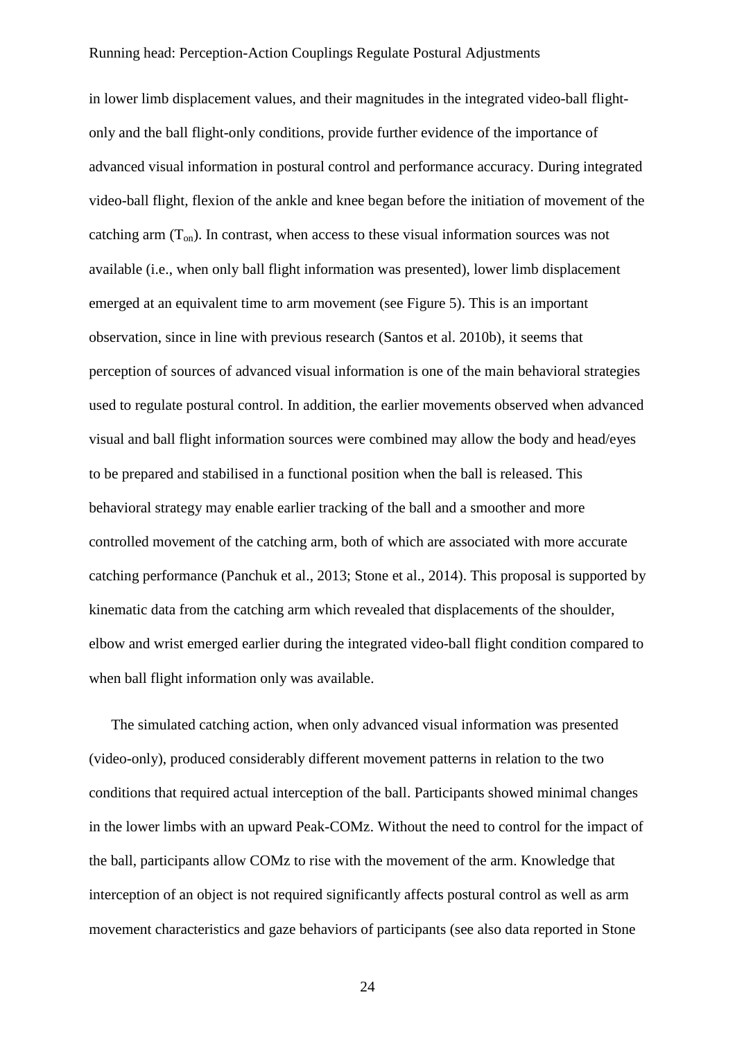in lower limb displacement values, and their magnitudes in the integrated video-ball flightonly and the ball flight-only conditions, provide further evidence of the importance of advanced visual information in postural control and performance accuracy. During integrated video-ball flight, flexion of the ankle and knee began before the initiation of movement of the catching arm  $(T_{on})$ . In contrast, when access to these visual information sources was not available (i.e., when only ball flight information was presented), lower limb displacement emerged at an equivalent time to arm movement (see Figure 5). This is an important observation, since in line with previous research (Santos et al. 2010b), it seems that perception of sources of advanced visual information is one of the main behavioral strategies used to regulate postural control. In addition, the earlier movements observed when advanced visual and ball flight information sources were combined may allow the body and head/eyes to be prepared and stabilised in a functional position when the ball is released. This behavioral strategy may enable earlier tracking of the ball and a smoother and more controlled movement of the catching arm, both of which are associated with more accurate catching performance (Panchuk et al., 2013; Stone et al., 2014). This proposal is supported by kinematic data from the catching arm which revealed that displacements of the shoulder, elbow and wrist emerged earlier during the integrated video-ball flight condition compared to when ball flight information only was available.

The simulated catching action, when only advanced visual information was presented (video-only), produced considerably different movement patterns in relation to the two conditions that required actual interception of the ball. Participants showed minimal changes in the lower limbs with an upward Peak-COMz. Without the need to control for the impact of the ball, participants allow COMz to rise with the movement of the arm. Knowledge that interception of an object is not required significantly affects postural control as well as arm movement characteristics and gaze behaviors of participants (see also data reported in Stone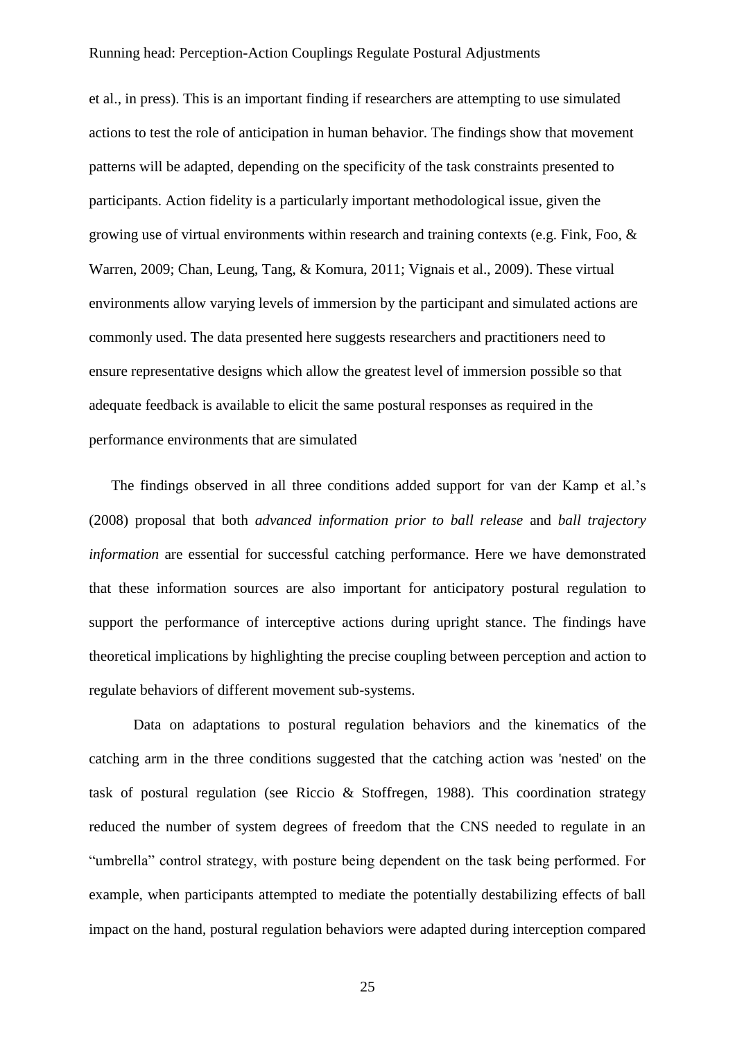et al., in press). This is an important finding if researchers are attempting to use simulated actions to test the role of anticipation in human behavior. The findings show that movement patterns will be adapted, depending on the specificity of the task constraints presented to participants. Action fidelity is a particularly important methodological issue, given the growing use of virtual environments within research and training contexts (e.g. Fink, Foo, & Warren, 2009; Chan, Leung, Tang, & Komura, 2011; Vignais et al., 2009). These virtual environments allow varying levels of immersion by the participant and simulated actions are commonly used. The data presented here suggests researchers and practitioners need to ensure representative designs which allow the greatest level of immersion possible so that adequate feedback is available to elicit the same postural responses as required in the performance environments that are simulated

The findings observed in all three conditions added support for van der Kamp et al.'s (2008) proposal that both *advanced information prior to ball release* and *ball trajectory information* are essential for successful catching performance. Here we have demonstrated that these information sources are also important for anticipatory postural regulation to support the performance of interceptive actions during upright stance. The findings have theoretical implications by highlighting the precise coupling between perception and action to regulate behaviors of different movement sub-systems.

Data on adaptations to postural regulation behaviors and the kinematics of the catching arm in the three conditions suggested that the catching action was 'nested' on the task of postural regulation (see Riccio & Stoffregen, 1988). This coordination strategy reduced the number of system degrees of freedom that the CNS needed to regulate in an "umbrella" control strategy, with posture being dependent on the task being performed. For example, when participants attempted to mediate the potentially destabilizing effects of ball impact on the hand, postural regulation behaviors were adapted during interception compared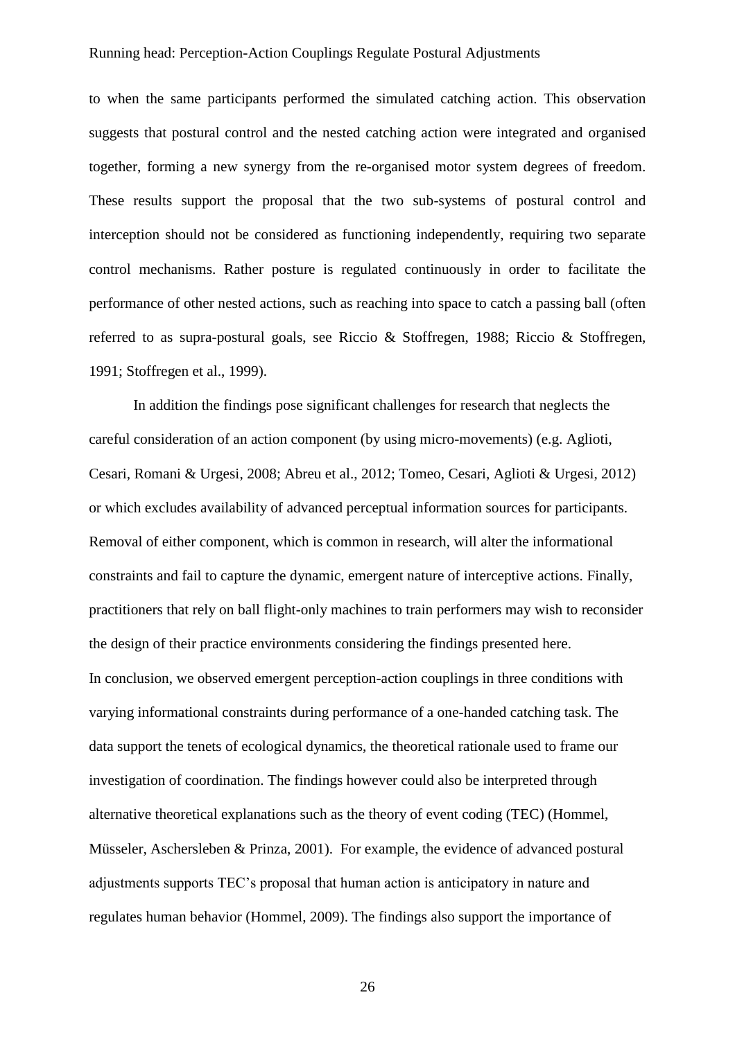to when the same participants performed the simulated catching action. This observation suggests that postural control and the nested catching action were integrated and organised together, forming a new synergy from the re-organised motor system degrees of freedom. These results support the proposal that the two sub-systems of postural control and interception should not be considered as functioning independently, requiring two separate control mechanisms. Rather posture is regulated continuously in order to facilitate the performance of other nested actions, such as reaching into space to catch a passing ball (often referred to as supra-postural goals, see Riccio & Stoffregen, 1988; Riccio & Stoffregen, 1991; Stoffregen et al., 1999).

In addition the findings pose significant challenges for research that neglects the careful consideration of an action component (by using micro-movements) (e.g. Aglioti, Cesari, Romani & Urgesi, 2008; Abreu et al., 2012; Tomeo, Cesari, Aglioti & Urgesi, 2012) or which excludes availability of advanced perceptual information sources for participants. Removal of either component, which is common in research, will alter the informational constraints and fail to capture the dynamic, emergent nature of interceptive actions. Finally, practitioners that rely on ball flight-only machines to train performers may wish to reconsider the design of their practice environments considering the findings presented here. In conclusion, we observed emergent perception-action couplings in three conditions with varying informational constraints during performance of a one-handed catching task. The data support the tenets of ecological dynamics, the theoretical rationale used to frame our investigation of coordination. The findings however could also be interpreted through alternative theoretical explanations such as the theory of event coding (TEC) (Hommel, Müsseler, Aschersleben & Prinza, 2001). For example, the evidence of advanced postural adjustments supports TEC's proposal that human action is anticipatory in nature and regulates human behavior (Hommel, 2009). The findings also support the importance of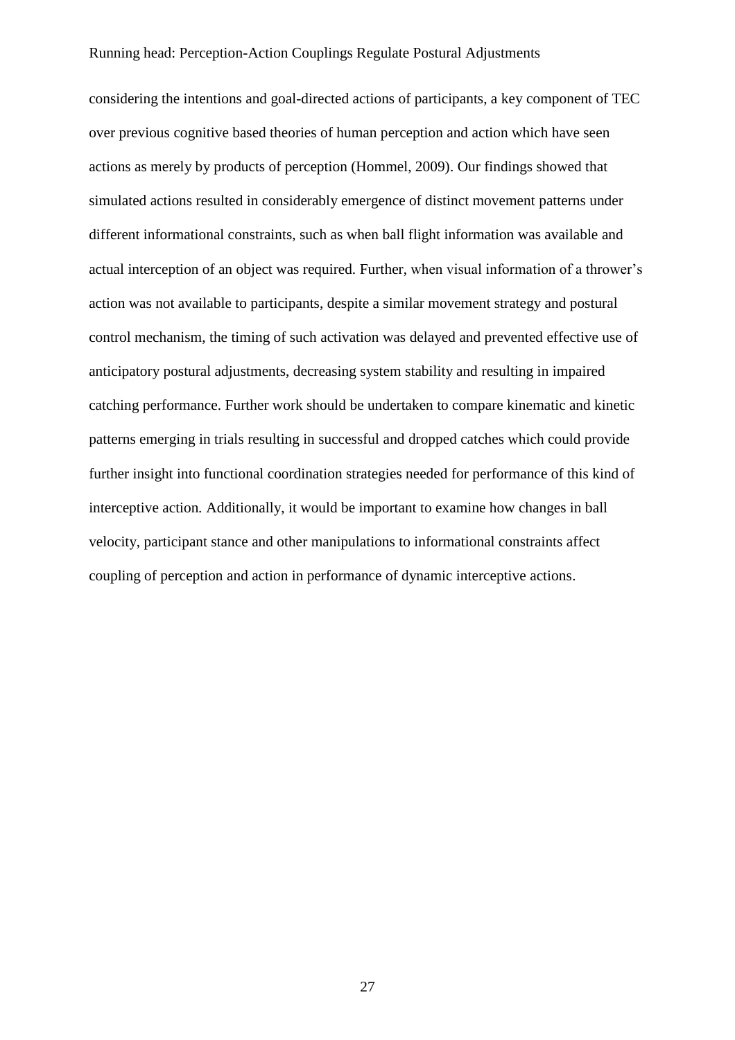considering the intentions and goal-directed actions of participants, a key component of TEC over previous cognitive based theories of human perception and action which have seen actions as merely by products of perception (Hommel, 2009). Our findings showed that simulated actions resulted in considerably emergence of distinct movement patterns under different informational constraints, such as when ball flight information was available and actual interception of an object was required. Further, when visual information of a thrower's action was not available to participants, despite a similar movement strategy and postural control mechanism, the timing of such activation was delayed and prevented effective use of anticipatory postural adjustments, decreasing system stability and resulting in impaired catching performance. Further work should be undertaken to compare kinematic and kinetic patterns emerging in trials resulting in successful and dropped catches which could provide further insight into functional coordination strategies needed for performance of this kind of interceptive action*.* Additionally, it would be important to examine how changes in ball velocity, participant stance and other manipulations to informational constraints affect coupling of perception and action in performance of dynamic interceptive actions.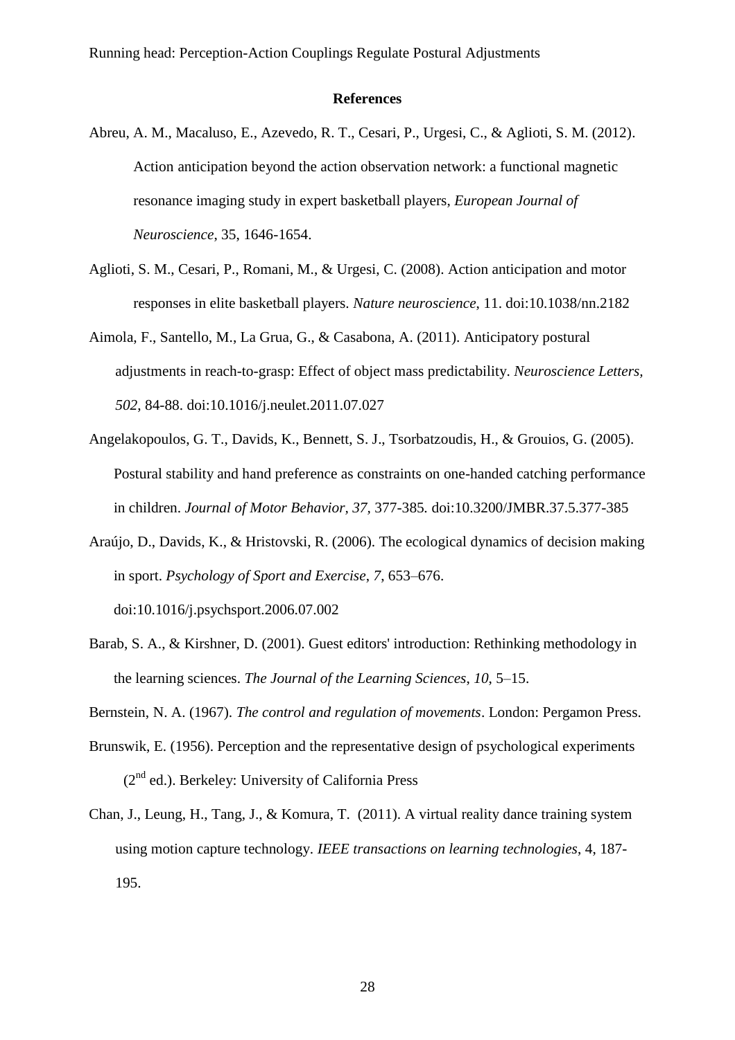## **References**

- Abreu, A. M., Macaluso, E., Azevedo, R. T., Cesari, P., Urgesi, C., & Aglioti, S. M. (2012). Action anticipation beyond the action observation network: a functional magnetic resonance imaging study in expert basketball players, *European Journal of Neuroscience*, 35, 1646-1654.
- Aglioti, S. M., Cesari, P., Romani, M., & Urgesi, C. (2008). Action anticipation and motor responses in elite basketball players. *Nature neuroscience*, 11. doi:10.1038/nn.2182
- Aimola, F., Santello, M., La Grua, G., & Casabona, A. (2011). Anticipatory postural adjustments in reach-to-grasp: Effect of object mass predictability. *Neuroscience Letters, 502*, 84-88. doi:10.1016/j.neulet.2011.07.027
- Angelakopoulos, G. T., Davids, K., Bennett, S. J., Tsorbatzoudis, H., & Grouios, G. (2005). Postural stability and hand preference as constraints on one-handed catching performance in children. *Journal of Motor Behavior, 37,* 377-385*.* doi:10.3200/JMBR.37.5.377-385
- Araújo, D., Davids, K., & Hristovski, R. (2006). The ecological dynamics of decision making in sport. *Psychology of Sport and Exercise*, *7*, 653–676. doi:10.1016/j.psychsport.2006.07.002
- Barab, S. A., & Kirshner, D. (2001). Guest editors' introduction: Rethinking methodology in the learning sciences. *The Journal of the Learning Sciences*, *10*, 5–15.

Bernstein, N. A. (1967). *The control and regulation of movements*. London: Pergamon Press.

- Brunswik, E. (1956). Perception and the representative design of psychological experiments  $(2<sup>nd</sup>$  ed.). Berkeley: University of California Press
- Chan, J., Leung, H., Tang, J., & Komura, T. (2011). A virtual reality dance training system using motion capture technology. *IEEE transactions on learning technologies*, 4, 187- 195.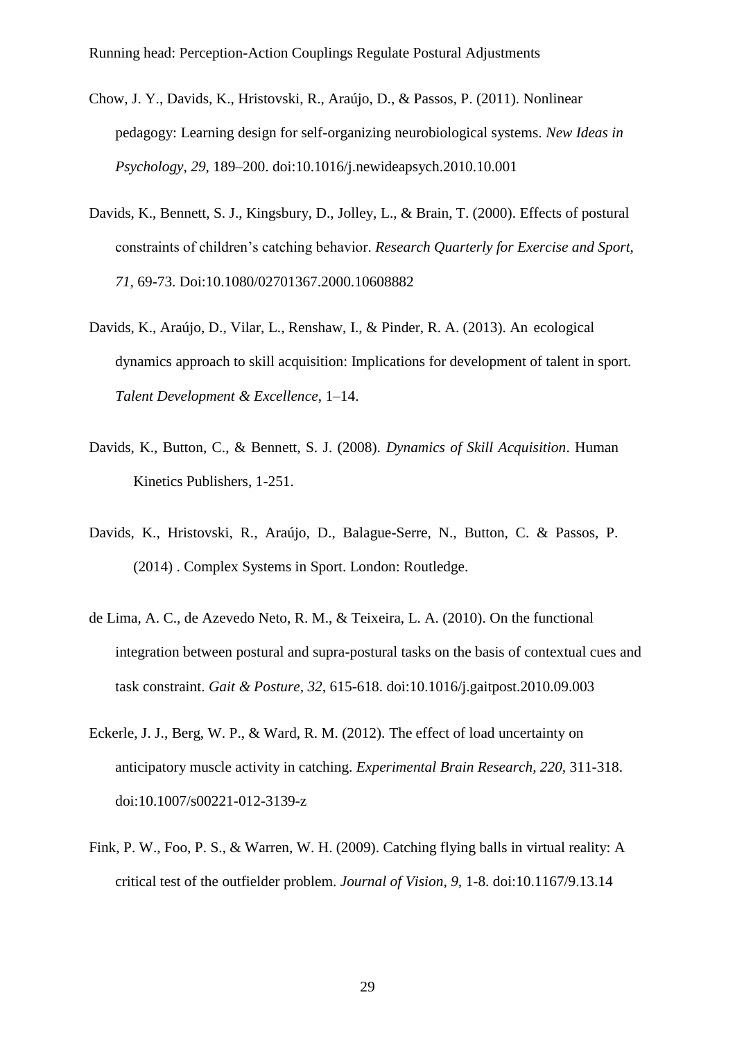- Chow, J. Y., Davids, K., Hristovski, R., Araújo, D., & Passos, P. (2011). Nonlinear pedagogy: Learning design for self-organizing neurobiological systems. *New Ideas in Psychology*, *29*, 189–200. doi:10.1016/j.newideapsych.2010.10.001
- Davids, K., Bennett, S. J., Kingsbury, D., Jolley, L., & Brain, T. (2000). Effects of postural constraints of children's catching behavior. *Research Quarterly for Exercise and Sport, 71,* 69-73. Doi:10.1080/02701367.2000.10608882
- Davids, K., Araújo, D., Vilar, L., Renshaw, I., & Pinder, R. A. (2013). An ecological dynamics approach to skill acquisition: Implications for development of talent in sport. *Talent Development & Excellence*, 1–14.
- Davids, K., Button, C., & Bennett, S. J. (2008). *Dynamics of Skill Acquisition*. Human Kinetics Publishers, 1-251.
- Davids, K., Hristovski, R., Araújo, D., Balague-Serre, N., Button, C. & Passos, P. (2014) . Complex Systems in Sport. London: Routledge.
- de Lima, A. C., de Azevedo Neto, R. M., & Teixeira, L. A. (2010). On the functional integration between postural and supra-postural tasks on the basis of contextual cues and task constraint. *Gait & Posture, 32,* 615-618. doi:10.1016/j.gaitpost.2010.09.003
- Eckerle, J. J., Berg, W. P., & Ward, R. M. (2012). The effect of load uncertainty on anticipatory muscle activity in catching. *Experimental Brain Research, 220,* 311-318. doi:10.1007/s00221-012-3139-z
- Fink, P. W., Foo, P. S., & Warren, W. H. (2009). Catching flying balls in virtual reality: A critical test of the outfielder problem. *Journal of Vision, 9,* 1-8. doi:10.1167/9.13.14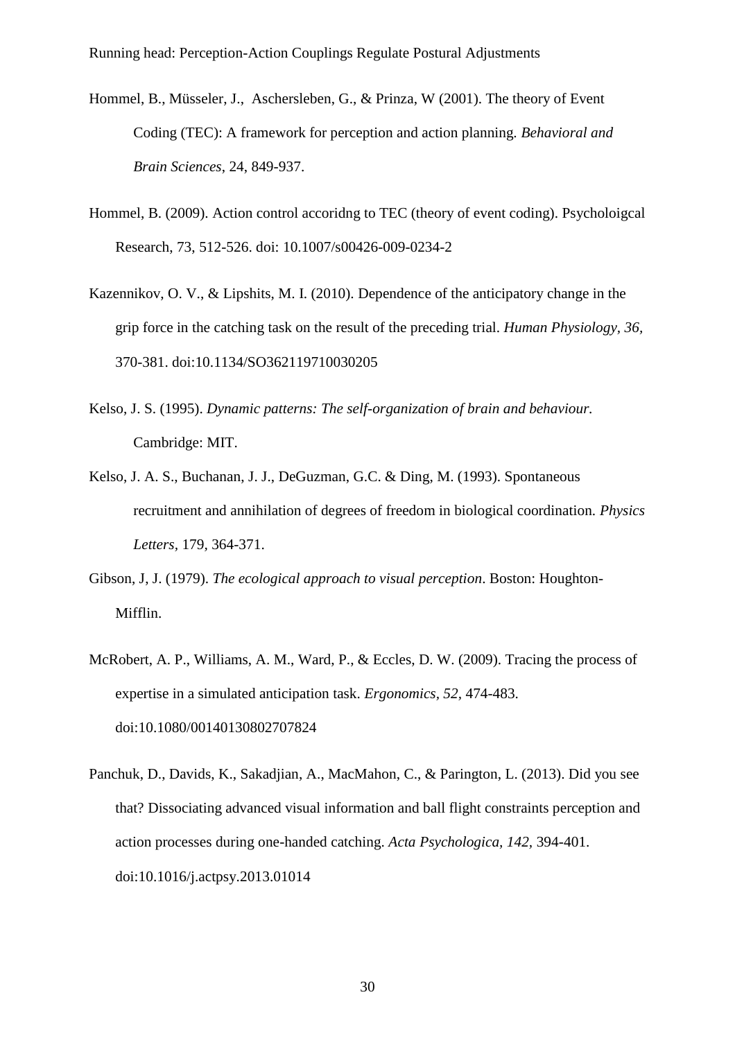- Hommel, B., Müsseler, J., Aschersleben, G., & Prinza, W (2001). The theory of Event Coding (TEC): A framework for perception and action planning*. Behavioral and Brain Sciences*, 24, 849-937.
- Hommel, B. (2009). Action control accoridng to TEC (theory of event coding). Psycholoigcal Research, 73, 512-526. doi: 10.1007/s00426-009-0234-2
- Kazennikov, O. V., & Lipshits, M. I. (2010). Dependence of the anticipatory change in the grip force in the catching task on the result of the preceding trial. *Human Physiology, 36,*  370-381. doi:10.1134/SO362119710030205
- Kelso, J. S. (1995). *Dynamic patterns: The self-organization of brain and behaviour.*  Cambridge: MIT.
- Kelso, J. A. S., Buchanan, J. J., DeGuzman, G.C. & Ding, M. (1993). Spontaneous recruitment and annihilation of degrees of freedom in biological coordination. *Physics Letters,* 179*,* 364-371.
- Gibson, J, J. (1979). *The ecological approach to visual perception*. Boston: Houghton-Mifflin.
- McRobert, A. P., Williams, A. M., Ward, P., & Eccles, D. W. (2009). Tracing the process of expertise in a simulated anticipation task. *Ergonomics, 52,* 474-483. doi:10.1080/00140130802707824
- Panchuk, D., Davids, K., Sakadjian, A., MacMahon, C., & Parington, L. (2013). Did you see that? Dissociating advanced visual information and ball flight constraints perception and action processes during one-handed catching. *Acta Psychologica, 142,* 394-401. doi:10.1016/j.actpsy.2013.01014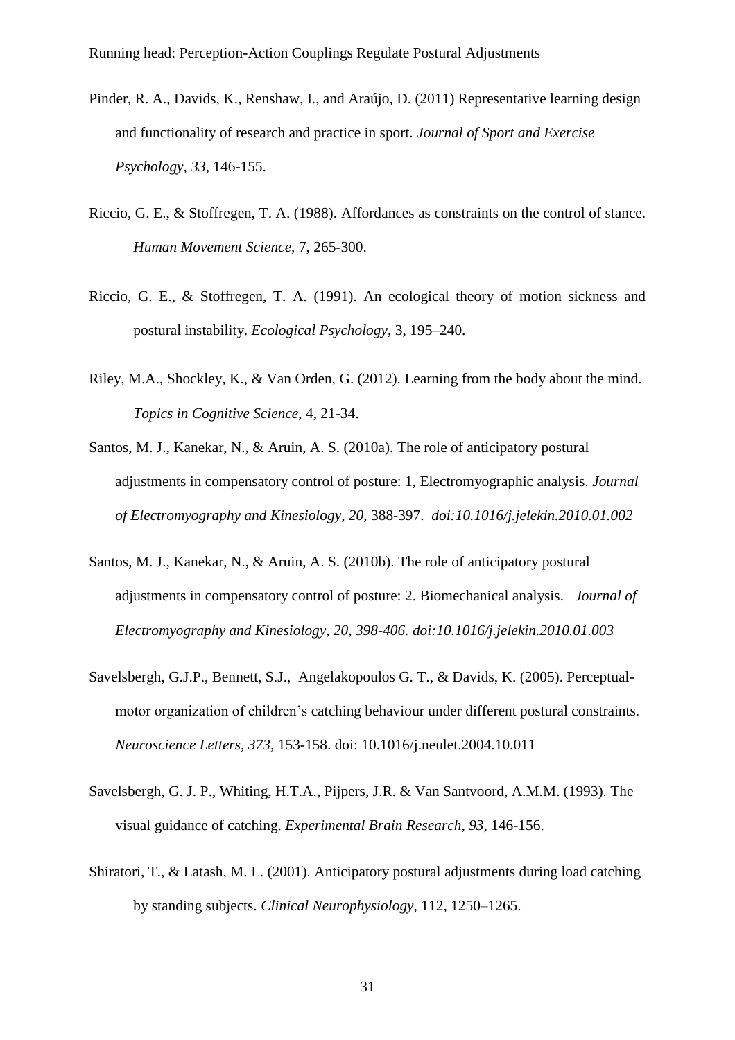- Pinder, R. A., Davids, K., Renshaw, I., and Araújo, D. (2011) Representative learning design and functionality of research and practice in sport. *Journal of Sport and Exercise Psychology, 33,* 146-155.
- Riccio, G. E., & Stoffregen, T. A. (1988). Affordances as constraints on the control of stance. *Human Movement Science,* 7, 265-300.
- Riccio, G. E., & Stoffregen, T. A. (1991). An ecological theory of motion sickness and postural instability. *Ecological Psychology*, 3, 195–240.
- Riley, M.A., Shockley, K., & Van Orden, G. (2012). Learning from the body about the mind. *Topics in Cognitive Science*, 4, 21-34.
- Santos, M. J., Kanekar, N., & Aruin, A. S. (2010a). The role of anticipatory postural adjustments in compensatory control of posture: 1, Electromyographic analysis. *Journal of Electromyography and Kinesiology, 20,* 388-397. *doi:10.1016/j.jelekin.2010.01.002*
- Santos, M. J., Kanekar, N., & Aruin, A. S. (2010b). The role of anticipatory postural adjustments in compensatory control of posture: 2. Biomechanical analysis. *Journal of Electromyography and Kinesiology, 20, 398-406. doi:10.1016/j.jelekin.2010.01.003*
- Savelsbergh, G.J.P., Bennett, S.J., Angelakopoulos G. T., & Davids, K. (2005). Perceptualmotor organization of children's catching behaviour under different postural constraints. *Neuroscience Letters, 373,* 153-158. doi: 10.1016/j.neulet.2004.10.011
- Savelsbergh, G. J. P., Whiting, H.T.A., Pijpers, J.R. & Van Santvoord, A.M.M. (1993). The visual guidance of catching. *Experimental Brain Research*, *93*, 146-156.
- Shiratori, T., & Latash, M. L. (2001). Anticipatory postural adjustments during load catching by standing subjects. *Clinical Neurophysiology*, 112, 1250–1265.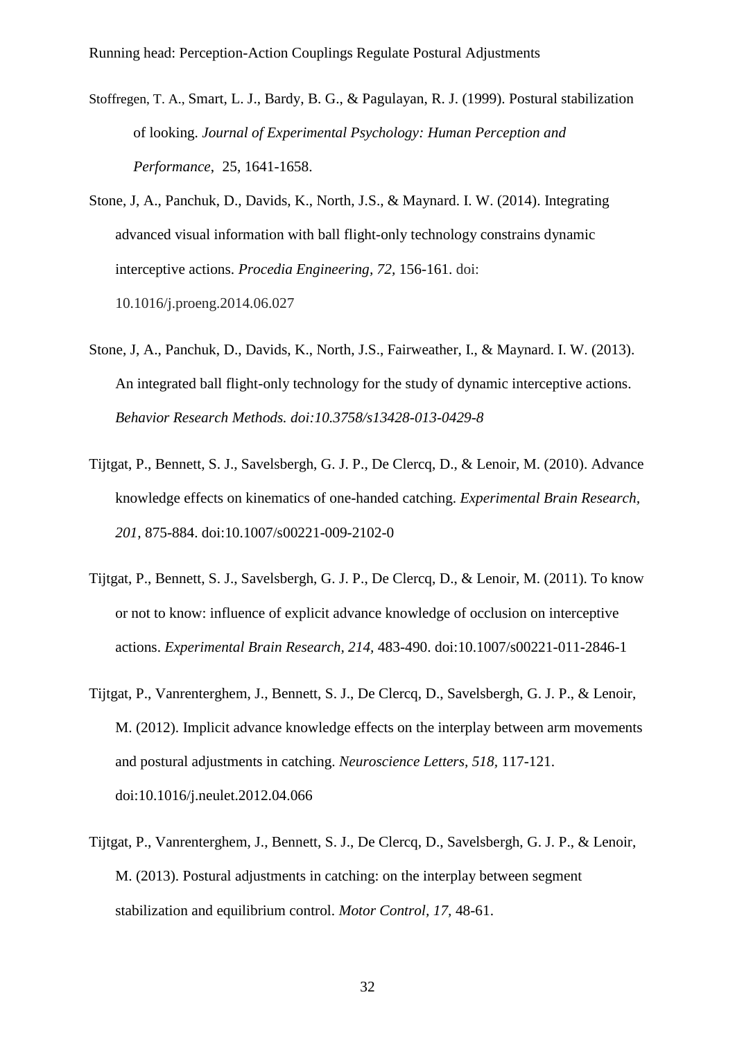- Stoffregen, T. A., Smart, L. J., Bardy, B. G., & Pagulayan, R. J. (1999). Postural stabilization of looking. *Journal of Experimental Psychology: Human Perception and Performance*, 25, 1641-1658.
- Stone, J, A., Panchuk, D., Davids, K., North, J.S., & Maynard. I. W. (2014). Integrating advanced visual information with ball flight-only technology constrains dynamic interceptive actions. *Procedia Engineering, 72,* 156-161. doi: 10.1016/j.proeng.2014.06.027
- Stone, J, A., Panchuk, D., Davids, K., North, J.S., Fairweather, I., & Maynard. I. W. (2013). An integrated ball flight-only technology for the study of dynamic interceptive actions. *Behavior Research Methods. doi:10.3758/s13428-013-0429-8*
- Tijtgat, P., Bennett, S. J., Savelsbergh, G. J. P., De Clercq, D., & Lenoir, M. (2010). Advance knowledge effects on kinematics of one-handed catching. *Experimental Brain Research, 201,* 875-884. doi:10.1007/s00221-009-2102-0
- Tijtgat, P., Bennett, S. J., Savelsbergh, G. J. P., De Clercq, D., & Lenoir, M. (2011). To know or not to know: influence of explicit advance knowledge of occlusion on interceptive actions. *Experimental Brain Research, 214,* 483-490. doi:10.1007/s00221-011-2846-1
- Tijtgat, P., Vanrenterghem, J., Bennett, S. J., De Clercq, D., Savelsbergh, G. J. P., & Lenoir, M. (2012). Implicit advance knowledge effects on the interplay between arm movements and postural adjustments in catching. *Neuroscience Letters, 518,* 117-121. doi:10.1016/j.neulet.2012.04.066
- Tijtgat, P., Vanrenterghem, J., Bennett, S. J., De Clercq, D., Savelsbergh, G. J. P., & Lenoir, M. (2013). Postural adjustments in catching: on the interplay between segment stabilization and equilibrium control. *Motor Control, 17,* 48-61.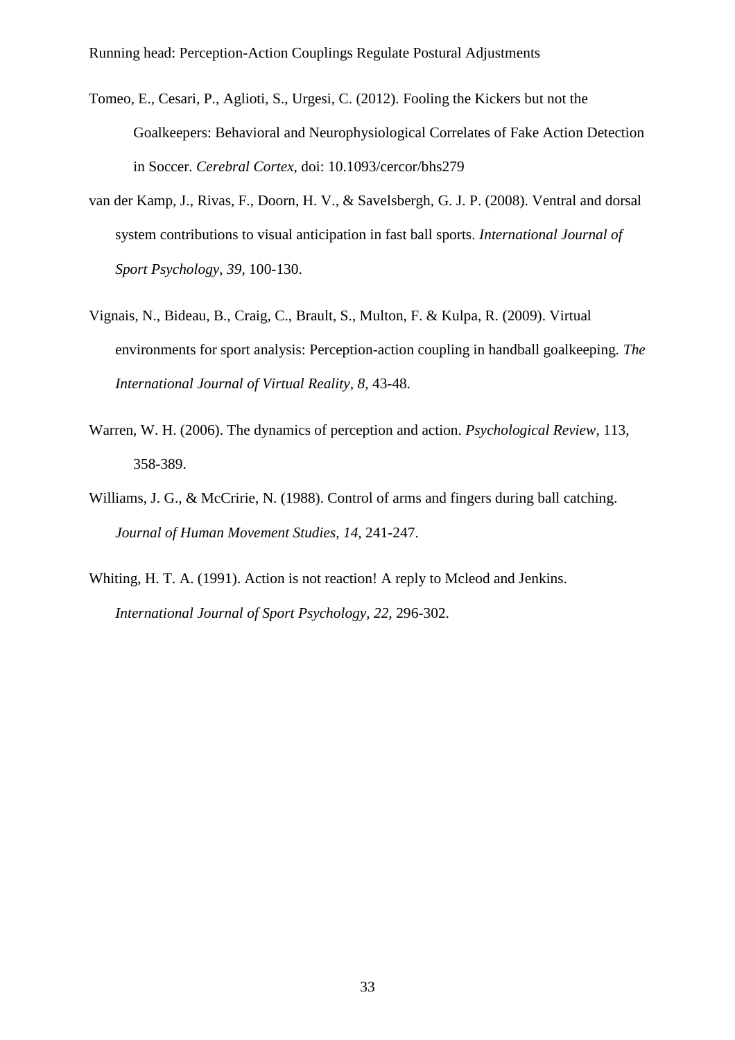- Tomeo, E., Cesari, P., Aglioti, S., Urgesi, C. (2012). Fooling the Kickers but not the Goalkeepers: Behavioral and Neurophysiological Correlates of Fake Action Detection in Soccer. *Cerebral Cortex,* doi: 10.1093/cercor/bhs279
- van der Kamp, J., Rivas, F., Doorn, H. V., & Savelsbergh, G. J. P. (2008). Ventral and dorsal system contributions to visual anticipation in fast ball sports. *International Journal of Sport Psychology, 39,* 100-130.
- Vignais, N., Bideau, B., Craig, C., Brault, S., Multon, F. & Kulpa, R. (2009). Virtual environments for sport analysis: Perception-action coupling in handball goalkeeping. *The International Journal of Virtual Reality, 8,* 43-48.
- Warren, W. H. (2006). The dynamics of perception and action. *Psychological Review*, 113, 358-389.
- Williams, J. G., & McCririe, N. (1988). Control of arms and fingers during ball catching. *Journal of Human Movement Studies, 14,* 241-247.
- Whiting, H. T. A. (1991). Action is not reaction! A reply to Mcleod and Jenkins. *International Journal of Sport Psychology, 22,* 296-302.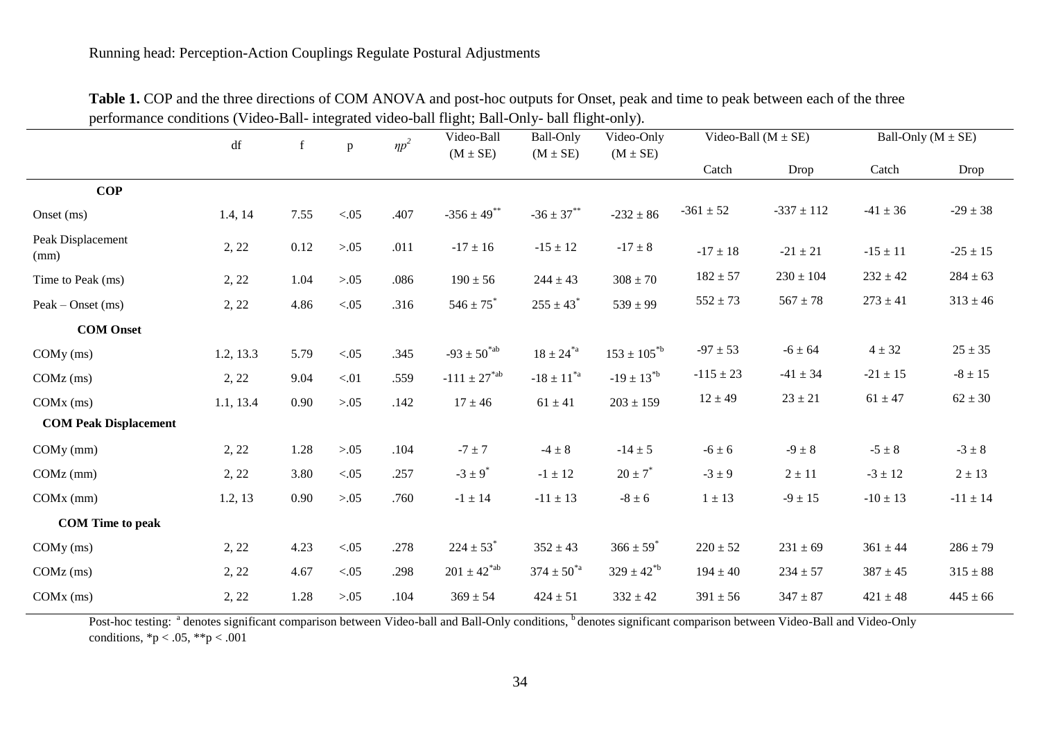| Catch<br>Drop<br>$-337 \pm 112$ | Catch                                                                                                                                                                                  | Drop                          |
|---------------------------------|----------------------------------------------------------------------------------------------------------------------------------------------------------------------------------------|-------------------------------|
|                                 |                                                                                                                                                                                        |                               |
|                                 |                                                                                                                                                                                        |                               |
|                                 |                                                                                                                                                                                        | $-29 \pm 38$                  |
| $-21 \pm 21$                    | $-15 \pm 11$                                                                                                                                                                           | $-25 \pm 15$                  |
| $230 \pm 104$                   | $232 \pm 42$                                                                                                                                                                           | $284 \pm 63$                  |
| $567 \pm 78$                    | $273\pm41$                                                                                                                                                                             | $313 \pm 46$                  |
|                                 |                                                                                                                                                                                        |                               |
| $-6 \pm 64$                     | $4 \pm 32$                                                                                                                                                                             | $25 \pm 35$                   |
| $-41 \pm 34$                    | $-21 \pm 15$                                                                                                                                                                           | $-8 \pm 15$                   |
| $23 \pm 21$                     | $61 \pm 47$                                                                                                                                                                            | $62 \pm 30$                   |
|                                 |                                                                                                                                                                                        |                               |
| $-9 \pm 8$                      | $-5 \pm 8$                                                                                                                                                                             | $-3 \pm 8$                    |
| $2 \pm 11$                      | $-3 \pm 12$                                                                                                                                                                            | $2 \pm 13$                    |
| $-9 \pm 15$                     | $-10 \pm 13$                                                                                                                                                                           | $-11 \pm 14$                  |
|                                 |                                                                                                                                                                                        |                               |
| $231 \pm 69$                    | $361 \pm 44$                                                                                                                                                                           | $286 \pm 79$                  |
| $234 \pm 57$                    | $387 \pm 45$                                                                                                                                                                           | $315 \pm 88$                  |
| $347 \pm 87$                    | $421 \pm 48$                                                                                                                                                                           | $445 \pm 66$                  |
|                                 | $-17 \pm 18$<br>$182 \pm 57$<br>$552 \pm 73$<br>$-97 \pm 53$<br>$-115 \pm 23$<br>$12 \pm 49$<br>$-6 \pm 6$<br>$-3 \pm 9$<br>$1 \pm 13$<br>$220 \pm 52$<br>$194 \pm 40$<br>$391 \pm 56$ | $-361 \pm 52$<br>$-41 \pm 36$ |

**Table 1.** COP and the three directions of COM ANOVA and post-hoc outputs for Onset, peak and time to peak between each of the three performance conditions (Video-Ball- integrated video-ball flight; Ball-Only- ball flight-only).

Post-hoc testing: <sup>a</sup> denotes significant comparison between Video-ball and Ball-Only conditions, <sup>b</sup> denotes significant comparison between Video-Ball and Video-Only conditions,  ${}^*p < .05$ ,  ${}^*{}^*p < .001$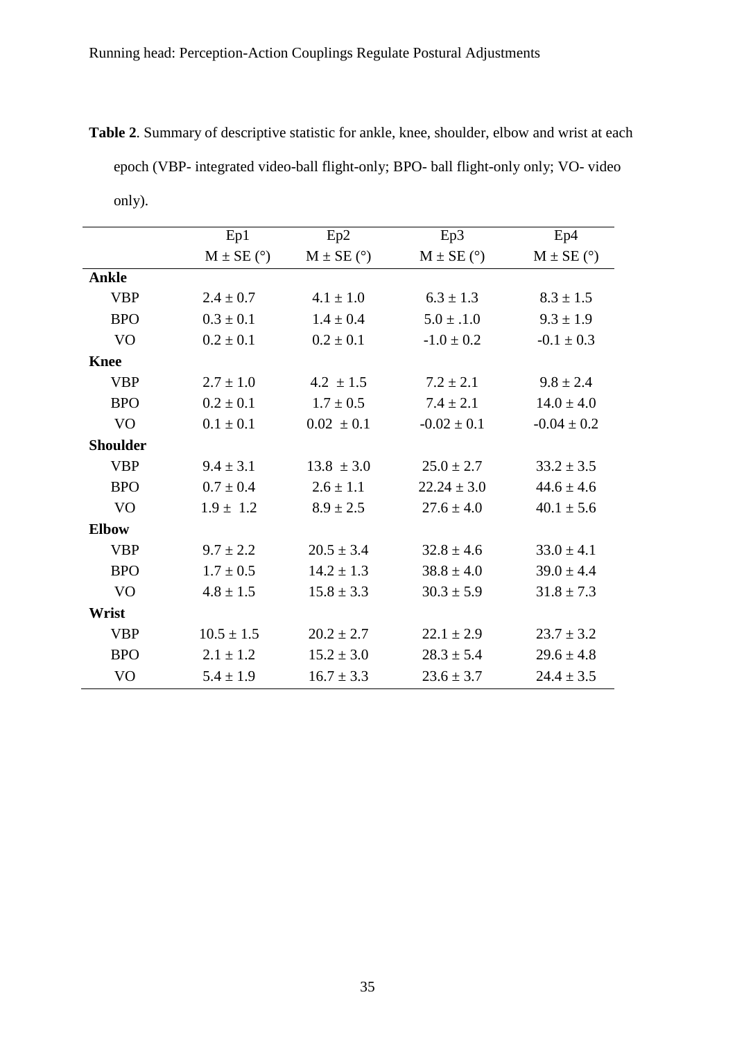| only).          |                |                |                 |                 |
|-----------------|----------------|----------------|-----------------|-----------------|
|                 | Ep1            | Ep2            | Ep3             | Ep4             |
|                 | $M \pm SE$ (°) | $M \pm SE$ (°) | $M \pm SE$ (°)  | $M \pm SE$ (°)  |
| <b>Ankle</b>    |                |                |                 |                 |
| <b>VBP</b>      | $2.4 \pm 0.7$  | $4.1 \pm 1.0$  | $6.3 \pm 1.3$   | $8.3 \pm 1.5$   |
| <b>BPO</b>      | $0.3 \pm 0.1$  | $1.4 \pm 0.4$  | $5.0 \pm .1.0$  | $9.3 \pm 1.9$   |
| V <sub>O</sub>  | $0.2 \pm 0.1$  | $0.2 \pm 0.1$  | $-1.0 \pm 0.2$  | $-0.1 \pm 0.3$  |
| <b>Knee</b>     |                |                |                 |                 |
| <b>VBP</b>      | $2.7 \pm 1.0$  | $4.2 \pm 1.5$  | $7.2 \pm 2.1$   | $9.8 \pm 2.4$   |
| <b>BPO</b>      | $0.2 \pm 0.1$  | $1.7 \pm 0.5$  | $7.4 \pm 2.1$   | $14.0 \pm 4.0$  |
| V <sub>O</sub>  | $0.1 \pm 0.1$  | $0.02 \pm 0.1$ | $-0.02 \pm 0.1$ | $-0.04 \pm 0.2$ |
| <b>Shoulder</b> |                |                |                 |                 |
| <b>VBP</b>      | $9.4 \pm 3.1$  | $13.8 \pm 3.0$ | $25.0 \pm 2.7$  | $33.2 \pm 3.5$  |
| <b>BPO</b>      | $0.7 \pm 0.4$  | $2.6 \pm 1.1$  | $22.24 \pm 3.0$ | $44.6 \pm 4.6$  |
| V <sub>O</sub>  | $1.9 \pm 1.2$  | $8.9 \pm 2.5$  | $27.6 \pm 4.0$  | $40.1 \pm 5.6$  |
| <b>Elbow</b>    |                |                |                 |                 |
| <b>VBP</b>      | $9.7 \pm 2.2$  | $20.5 \pm 3.4$ | $32.8 \pm 4.6$  | $33.0 \pm 4.1$  |
| <b>BPO</b>      | $1.7 \pm 0.5$  | $14.2 \pm 1.3$ | $38.8 \pm 4.0$  | $39.0 \pm 4.4$  |
| V <sub>O</sub>  | $4.8 \pm 1.5$  | $15.8 \pm 3.3$ | $30.3 \pm 5.9$  | $31.8 \pm 7.3$  |
| Wrist           |                |                |                 |                 |
| <b>VBP</b>      | $10.5 \pm 1.5$ | $20.2 \pm 2.7$ | $22.1 \pm 2.9$  | $23.7 \pm 3.2$  |
| <b>BPO</b>      | $2.1 \pm 1.2$  | $15.2 \pm 3.0$ | $28.3 \pm 5.4$  | $29.6 \pm 4.8$  |
| V <sub>O</sub>  | $5.4 \pm 1.9$  | $16.7 \pm 3.3$ | $23.6 \pm 3.7$  | $24.4 \pm 3.5$  |

**Table 2**. Summary of descriptive statistic for ankle, knee, shoulder, elbow and wrist at each epoch (VBP- integrated video-ball flight-only; BPO- ball flight-only only; VO- video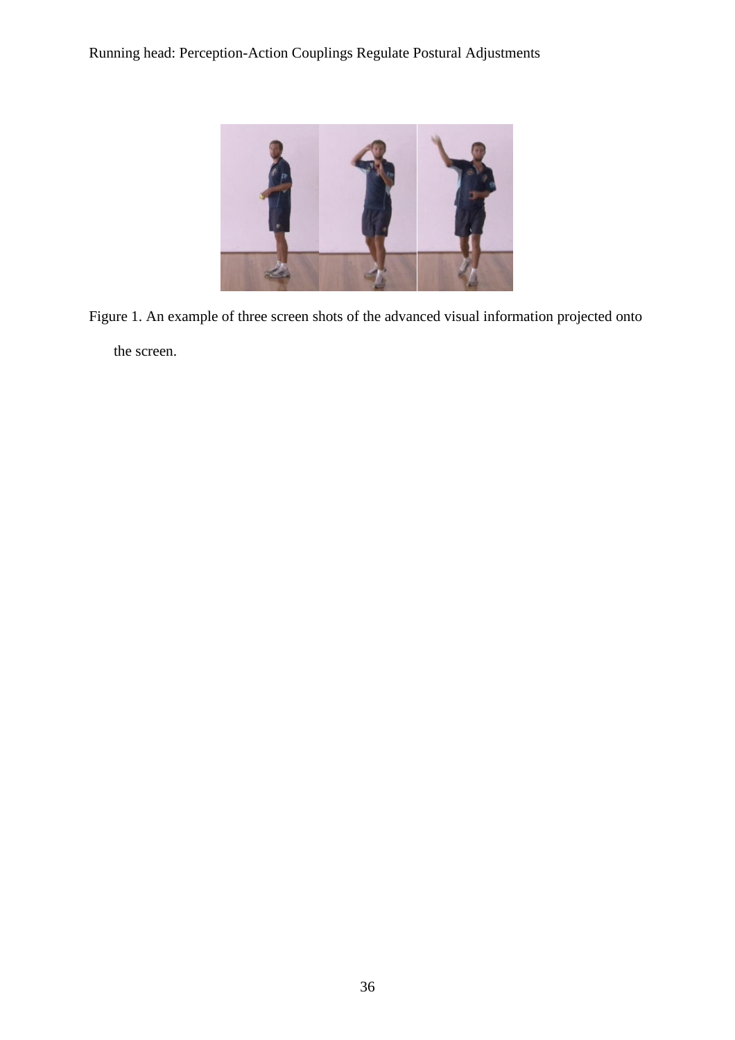

Figure 1. An example of three screen shots of the advanced visual information projected onto

the screen.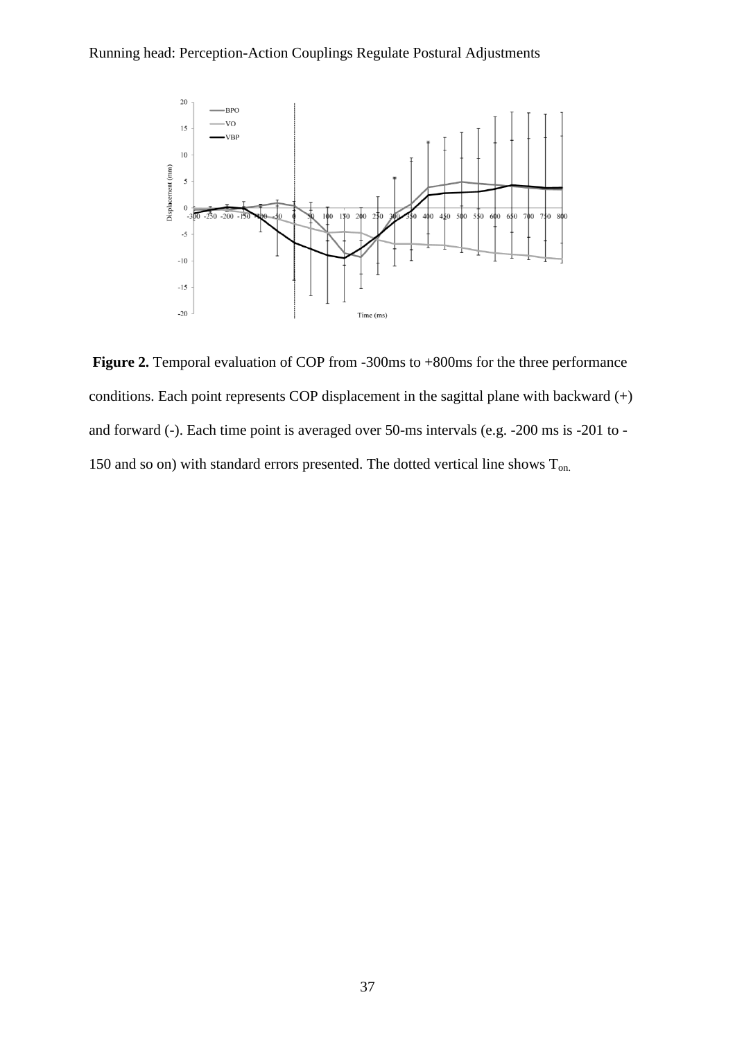

**Figure 2.** Temporal evaluation of COP from -300ms to +800ms for the three performance conditions. Each point represents COP displacement in the sagittal plane with backward (+) and forward (-). Each time point is averaged over 50-ms intervals (e.g. -200 ms is -201 to - 150 and so on) with standard errors presented. The dotted vertical line shows  $T_{on.}$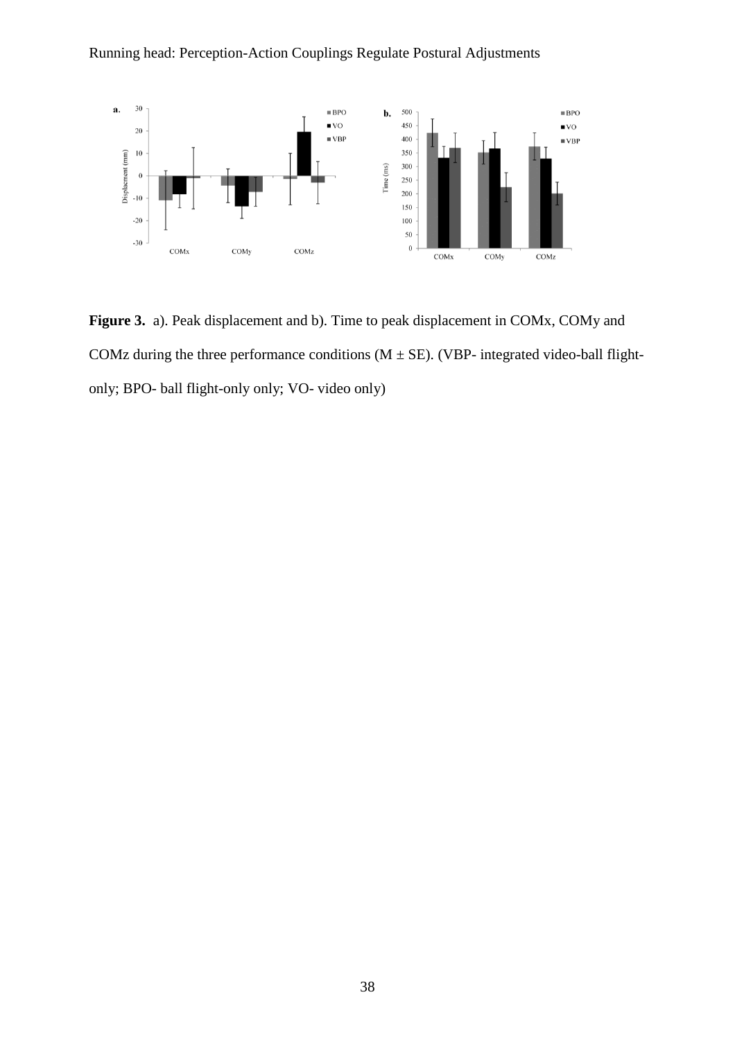

**Figure 3.** a). Peak displacement and b). Time to peak displacement in COMx, COMy and COMz during the three performance conditions  $(M \pm SE)$ . (VBP- integrated video-ball flightonly; BPO- ball flight-only only; VO- video only)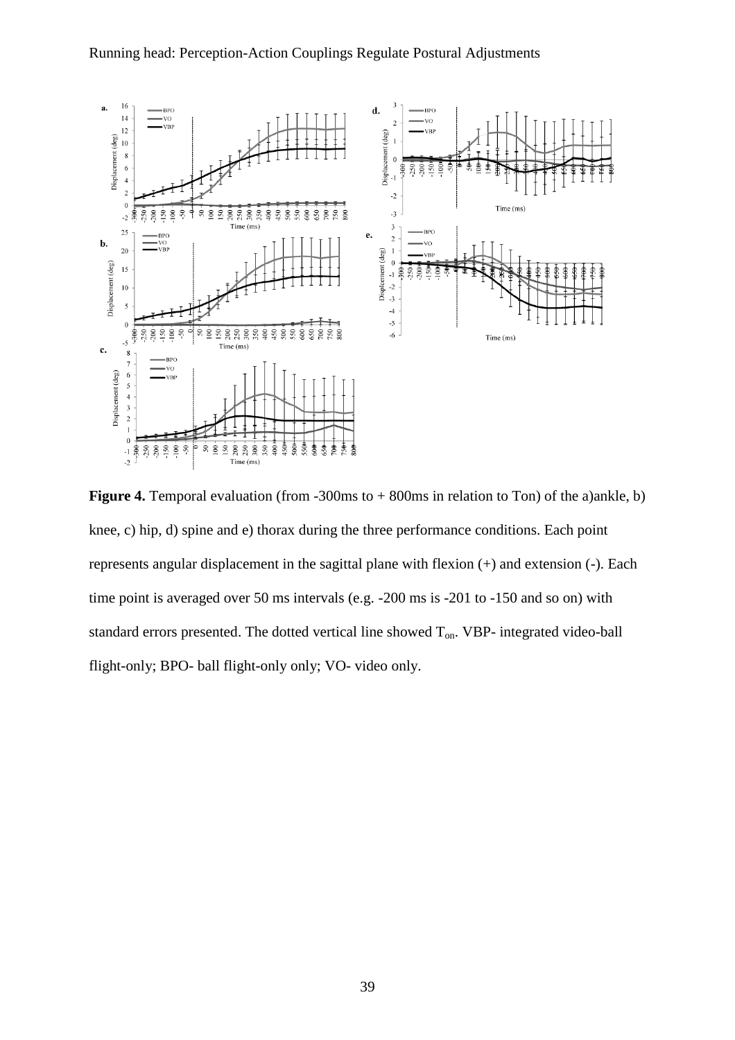

**Figure 4.** Temporal evaluation (from -300ms to + 800ms in relation to Ton) of the a)ankle, b) knee, c) hip, d) spine and e) thorax during the three performance conditions. Each point represents angular displacement in the sagittal plane with flexion (+) and extension (-). Each time point is averaged over 50 ms intervals (e.g. -200 ms is -201 to -150 and so on) with standard errors presented. The dotted vertical line showed  $T_{on}$ . VBP- integrated video-ball flight-only; BPO- ball flight-only only; VO- video only.